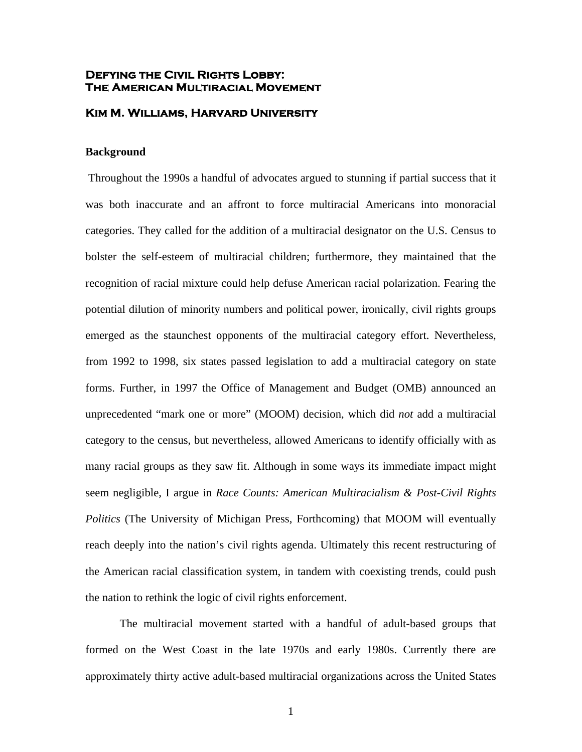# **Defying the Civil Rights Lobby: The American Multiracial Movement**

#### **Kim M. Williams, Harvard University**

### **Background**

Throughout the 1990s a handful of advocates argued to stunning if partial success that it was both inaccurate and an affront to force multiracial Americans into monoracial categories. They called for the addition of a multiracial designator on the U.S. Census to bolster the self-esteem of multiracial children; furthermore, they maintained that the recognition of racial mixture could help defuse American racial polarization. Fearing the potential dilution of minority numbers and political power, ironically, civil rights groups emerged as the staunchest opponents of the multiracial category effort. Nevertheless, from 1992 to 1998, six states passed legislation to add a multiracial category on state forms. Further, in 1997 the Office of Management and Budget (OMB) announced an unprecedented "mark one or more" (MOOM) decision, which did *not* add a multiracial category to the census, but nevertheless, allowed Americans to identify officially with as many racial groups as they saw fit. Although in some ways its immediate impact might seem negligible, I argue in *Race Counts: American Multiracialism & Post-Civil Rights Politics* (The University of Michigan Press, Forthcoming) that MOOM will eventually reach deeply into the nation's civil rights agenda. Ultimately this recent restructuring of the American racial classification system, in tandem with coexisting trends, could push the nation to rethink the logic of civil rights enforcement.

The multiracial movement started with a handful of adult-based groups that formed on the West Coast in the late 1970s and early 1980s. Currently there are approximately thirty active adult-based multiracial organizations across the United States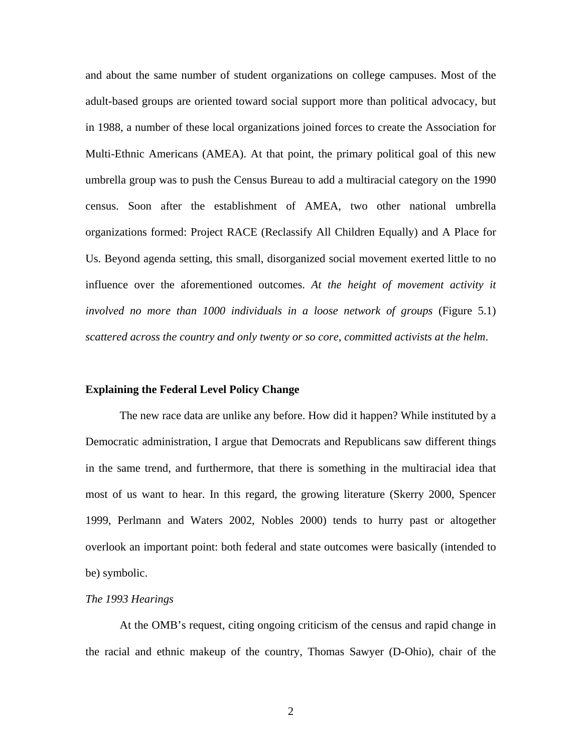and about the same number of student organizations on college campuses. Most of the adult-based groups are oriented toward social support more than political advocacy, but in 1988, a number of these local organizations joined forces to create the Association for Multi-Ethnic Americans (AMEA). At that point, the primary political goal of this new umbrella group was to push the Census Bureau to add a multiracial category on the 1990 census. Soon after the establishment of AMEA, two other national umbrella organizations formed: Project RACE (Reclassify All Children Equally) and A Place for Us. Beyond agenda setting, this small, disorganized social movement exerted little to no influence over the aforementioned outcomes. *At the height of movement activity it involved no more than 1000 individuals in a loose network of groups* (Figure 5.1) *scattered across the country and only twenty or so core, committed activists at the helm*.

### **Explaining the Federal Level Policy Change**

The new race data are unlike any before. How did it happen? While instituted by a Democratic administration, I argue that Democrats and Republicans saw different things in the same trend, and furthermore, that there is something in the multiracial idea that most of us want to hear. In this regard, the growing literature (Skerry 2000, Spencer 1999, Perlmann and Waters 2002, Nobles 2000) tends to hurry past or altogether overlook an important point: both federal and state outcomes were basically (intended to be) symbolic.

#### *The 1993 Hearings*

At the OMB's request, citing ongoing criticism of the census and rapid change in the racial and ethnic makeup of the country, Thomas Sawyer (D-Ohio), chair of the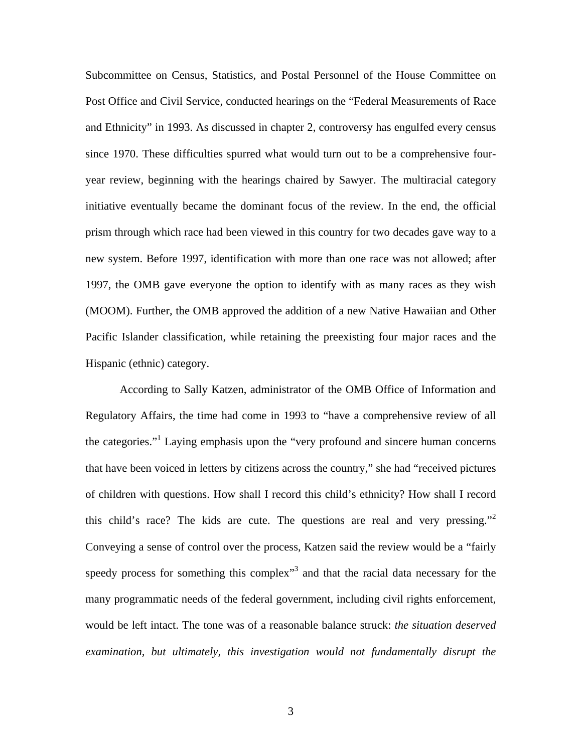Subcommittee on Census, Statistics, and Postal Personnel of the House Committee on Post Office and Civil Service, conducted hearings on the "Federal Measurements of Race and Ethnicity" in 1993. As discussed in chapter 2, controversy has engulfed every census since 1970. These difficulties spurred what would turn out to be a comprehensive fouryear review, beginning with the hearings chaired by Sawyer. The multiracial category initiative eventually became the dominant focus of the review. In the end, the official prism through which race had been viewed in this country for two decades gave way to a new system. Before 1997, identification with more than one race was not allowed; after 1997, the OMB gave everyone the option to identify with as many races as they wish (MOOM). Further, the OMB approved the addition of a new Native Hawaiian and Other Pacific Islander classification, while retaining the preexisting four major races and the Hispanic (ethnic) category.

According to Sally Katzen, administrator of the OMB Office of Information and Regulatory Affairs, the time had come in 1993 to "have a comprehensive review of all the categories."<sup>[1](#page-34-0)</sup> Laying emphasis upon the "very profound and sincere human concerns that have been voiced in letters by citizens across the country," she had "received pictures of children with questions. How shall I record this child's ethnicity? How shall I record this child's race? The kids are cute. The questions are real and very pressing."<sup>2</sup> Conveying a sense of control over the process, Katzen said the review would be a "fairly speedy process for something this complex<sup>[3](#page-34-2)</sup> and that the racial data necessary for the many programmatic needs of the federal government, including civil rights enforcement, would be left intact. The tone was of a reasonable balance struck: *the situation deserved examination, but ultimately, this investigation would not fundamentally disrupt the*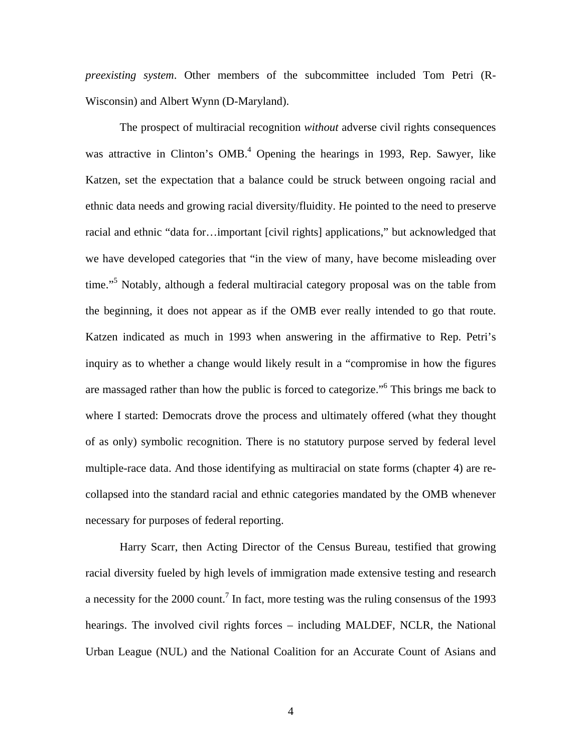*preexisting system*. Other members of the subcommittee included Tom Petri (R-Wisconsin) and Albert Wynn (D-Maryland).

The prospect of multiracial recognition *without* adverse civil rights consequences was attractive in Clinton's OMB.<sup>4</sup> Opening the hearings in 1993, Rep. Sawyer, like Katzen, set the expectation that a balance could be struck between ongoing racial and ethnic data needs and growing racial diversity/fluidity. He pointed to the need to preserve racial and ethnic "data for…important [civil rights] applications," but acknowledged that we have developed categories that "in the view of many, have become misleading over time."<sup>[5](#page-34-4)</sup> Notably, although a federal multiracial category proposal was on the table from the beginning, it does not appear as if the OMB ever really intended to go that route. Katzen indicated as much in 1993 when answering in the affirmative to Rep. Petri's inquiry as to whether a change would likely result in a "compromise in how the figures are massaged rather than how the public is forced to categorize."<sup>[6](#page-34-5)</sup> This brings me back to where I started: Democrats drove the process and ultimately offered (what they thought of as only) symbolic recognition. There is no statutory purpose served by federal level multiple-race data. And those identifying as multiracial on state forms (chapter 4) are recollapsed into the standard racial and ethnic categories mandated by the OMB whenever necessary for purposes of federal reporting.

Harry Scarr, then Acting Director of the Census Bureau, testified that growing racial diversity fueled by high levels of immigration made extensive testing and research a necessity for the 2000 count.<sup>7</sup> In fact, more testing was the ruling consensus of the 1993 hearings. The involved civil rights forces – including MALDEF, NCLR, the National Urban League (NUL) and the National Coalition for an Accurate Count of Asians and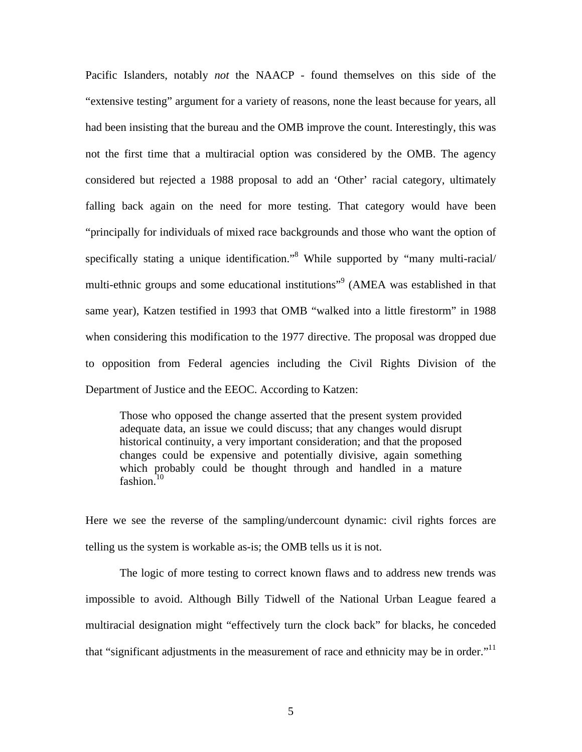Pacific Islanders, notably *not* the NAACP - found themselves on this side of the "extensive testing" argument for a variety of reasons, none the least because for years, all had been insisting that the bureau and the OMB improve the count. Interestingly, this was not the first time that a multiracial option was considered by the OMB. The agency considered but rejected a 1988 proposal to add an 'Other' racial category, ultimately falling back again on the need for more testing. That category would have been "principally for individuals of mixed race backgrounds and those who want the option of specifically stating a unique identification.<sup>38</sup> While supported by "many multi-racial/ multi-ethnic groups and some educational institutions"<sup>[9](#page-34-8)</sup> (AMEA was established in that same year), Katzen testified in 1993 that OMB "walked into a little firestorm" in 1988 when considering this modification to the 1977 directive. The proposal was dropped due to opposition from Federal agencies including the Civil Rights Division of the Department of Justice and the EEOC. According to Katzen:

fashion.<sup>10</sup> Those who opposed the change asserted that the present system provided adequate data, an issue we could discuss; that any changes would disrupt historical continuity, a very important consideration; and that the proposed changes could be expensive and potentially divisive, again something which probably could be thought through and handled in a mature

Here we see the reverse of the sampling/undercount dynamic: civil rights forces are telling us the system is workable as-is; the OMB tells us it is not.

The logic of more testing to correct known flaws and to address new trends was impossible to avoid. Although Billy Tidwell of the National Urban League feared a multiracial designation might "effectively turn the clock back" for blacks, he conceded that "significant adjustments in the measurement of race and ethnicity may be in order." $11$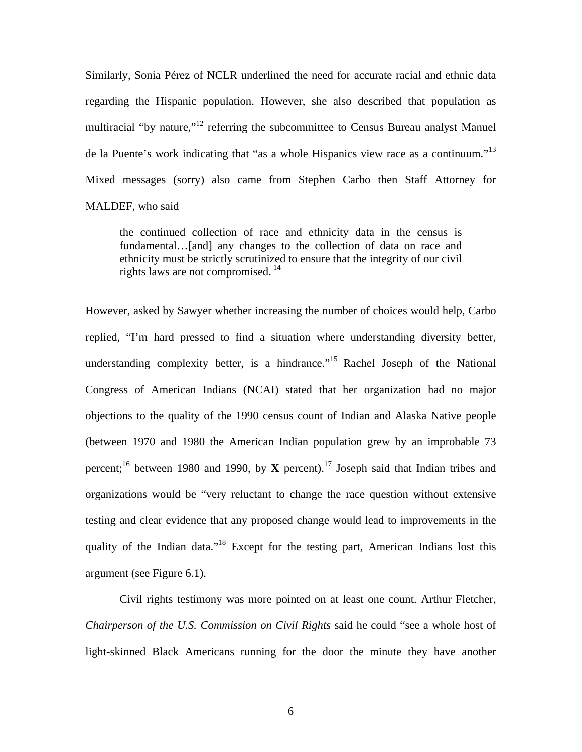Similarly, Sonia Pérez of NCLR underlined the need for accurate racial and ethnic data regarding the Hispanic population. However, she also described that population as multiracial "by nature,"<sup>12</sup> referring the subcommittee to Census Bureau analyst Manuel de la Puente's work indicating that "as a whole Hispanics view race as a continuum."<sup>13</sup> Mixed messages (sorry) also came from Stephen Carbo then Staff Attorney for MALDEF, who said

 rights laws are not compromised. [14](#page-34-13)  the continued collection of race and ethnicity data in the census is fundamental…[and] any changes to the collection of data on race and ethnicity must be strictly scrutinized to ensure that the integrity of our civil

However, asked by Sawyer whether increasing the number of choices would help, Carbo replied, "I'm hard pressed to find a situation where understanding diversity better, understanding complexity better, is a hindrance.<sup>"15</sup> Rachel Joseph of the National Congress of American Indians (NCAI) stated that her organization had no major objections to the quality of the 1990 census count of Indian and Alaska Native people (between 1970 and 1980 the American Indian population grew by an improbable 73 percent;<sup>16</sup> between 1980 and 1990, by **X** percent).<sup>17</sup> Joseph said that Indian tribes and organizations would be "very reluctant to change the race question without extensive testing and clear evidence that any proposed change would lead to improvements in the quality of the Indian data."<sup>18</sup> Except for the testing part, American Indians lost this argument (see Figure 6.1).

Civil rights testimony was more pointed on at least one count. Arthur Fletcher, *Chairperson of the U.S. Commission on Civil Rights* said he could "see a whole host of light-skinned Black Americans running for the door the minute they have another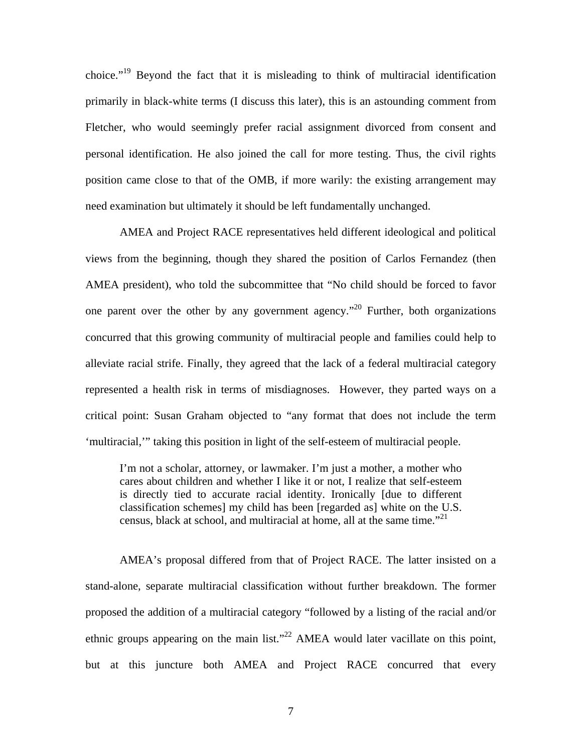choice."[19](#page-34-18) Beyond the fact that it is misleading to think of multiracial identification primarily in black-white terms (I discuss this later), this is an astounding comment from Fletcher, who would seemingly prefer racial assignment divorced from consent and personal identification. He also joined the call for more testing. Thus, the civil rights position came close to that of the OMB, if more warily: the existing arrangement may need examination but ultimately it should be left fundamentally unchanged.

AMEA and Project RACE representatives held different ideological and political views from the beginning, though they shared the position of Carlos Fernandez (then AMEA president), who told the subcommittee that "No child should be forced to favor one parent over the other by any government agency."<sup>20</sup> Further, both organizations concurred that this growing community of multiracial people and families could help to alleviate racial strife. Finally, they agreed that the lack of a federal multiracial category represented a health risk in terms of misdiagnoses. However, they parted ways on a critical point: Susan Graham objected to "any format that does not include the term 'multiracial,'" taking this position in light of the self-esteem of multiracial people.

 census, black at school, and multiracial at home, all at the same time."[21](#page-34-20)  I'm not a scholar, attorney, or lawmaker. I'm just a mother, a mother who cares about children and whether I like it or not, I realize that self-esteem is directly tied to accurate racial identity. Ironically [due to different classification schemes] my child has been [regarded as] white on the U.S.

AMEA's proposal differed from that of Project RACE. The latter insisted on a stand-alone, separate multiracial classification without further breakdown. The former proposed the addition of a multiracial category "followed by a listing of the racial and/or ethnic groups appearing on the main list."<sup>22</sup> AMEA would later vacillate on this point, but at this juncture both AMEA and Project RACE concurred that every

7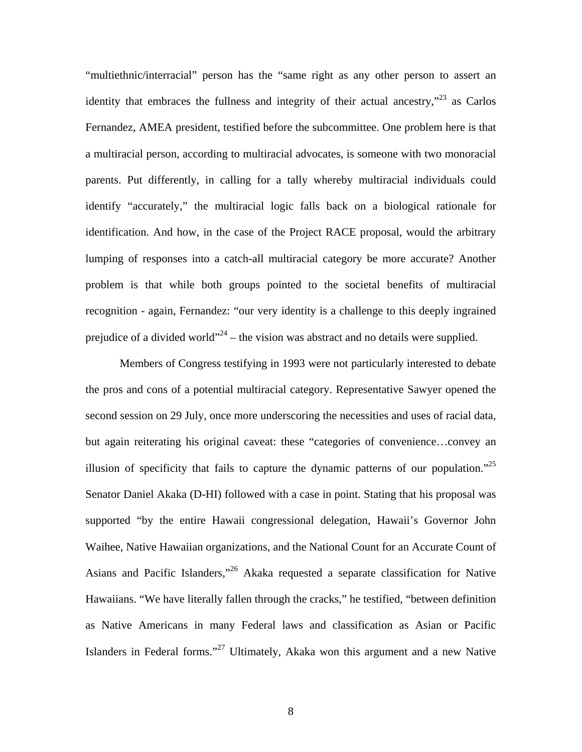"multiethnic/interracial" person has the "same right as any other person to assert an identity that embraces the fullness and integrity of their actual ancestry, $\frac{1}{2}$  as Carlos Fernandez, AMEA president, testified before the subcommittee. One problem here is that a multiracial person, according to multiracial advocates, is someone with two monoracial parents. Put differently, in calling for a tally whereby multiracial individuals could identify "accurately," the multiracial logic falls back on a biological rationale for identification. And how, in the case of the Project RACE proposal, would the arbitrary lumping of responses into a catch-all multiracial category be more accurate? Another problem is that while both groups pointed to the societal benefits of multiracial recognition - again, Fernandez: "our very identity is a challenge to this deeply ingrained prejudice of a divided world"<sup>24</sup> – the vision was abstract and no details were supplied.

Members of Congress testifying in 1993 were not particularly interested to debate the pros and cons of a potential multiracial category. Representative Sawyer opened the second session on 29 July, once more underscoring the necessities and uses of racial data, but again reiterating his original caveat: these "categories of convenience…convey an illusion of specificity that fails to capture the dynamic patterns of our population."<sup>25</sup> Senator Daniel Akaka (D-HI) followed with a case in point. Stating that his proposal was supported "by the entire Hawaii congressional delegation, Hawaii's Governor John Waihee, Native Hawaiian organizations, and the National Count for an Accurate Count of Asians and Pacific Islanders,"[26](#page-34-25) Akaka requested a separate classification for Native Hawaiians. "We have literally fallen through the cracks," he testified, "between definition as Native Americans in many Federal laws and classification as Asian or Pacific Islanders in Federal forms."[27](#page-34-26) Ultimately, Akaka won this argument and a new Native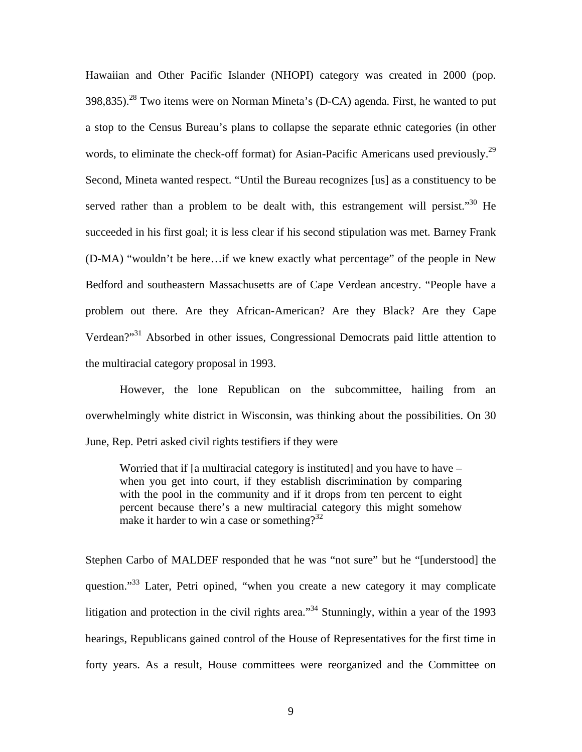Hawaiian and Other Pacific Islander (NHOPI) category was created in 2000 (pop.  $398,835$ .<sup>28</sup> Two items were on Norman Mineta's (D-CA) agenda. First, he wanted to put a stop to the Census Bureau's plans to collapse the separate ethnic categories (in other words, to eliminate the check-off format) for Asian-Pacific Americans used previously.<sup>29</sup> Second, Mineta wanted respect. "Until the Bureau recognizes [us] as a constituency to be served rather than a problem to be dealt with, this estrangement will persist."<sup>30</sup> He succeeded in his first goal; it is less clear if his second stipulation was met. Barney Frank (D-MA) "wouldn't be here…if we knew exactly what percentage" of the people in New Bedford and southeastern Massachusetts are of Cape Verdean ancestry. "People have a problem out there. Are they African-American? Are they Black? Are they Cape Verdean?"[31](#page-34-30) Absorbed in other issues, Congressional Democrats paid little attention to the multiracial category proposal in 1993.

However, the lone Republican on the subcommittee, hailing from an overwhelmingly white district in Wisconsin, was thinking about the possibilities. On 30 June, Rep. Petri asked civil rights testifiers if they were

Worried that if [a multiracial category is instituted] and you have to have – when you get into court, if they establish discrimination by comparing with the pool in the community and if it drops from ten percent to eight percent because there's a new multiracial category this might somehow make it harder to win a case or something?<sup>32</sup>

Stephen Carbo of MALDEF responded that he was "not sure" but he "[understood] the question."<sup>33</sup> Later, Petri opined, "when you create a new category it may complicate litigation and protection in the civil rights area."<sup>34</sup> Stunningly, within a year of the 1993 hearings, Republicans gained control of the House of Representatives for the first time in forty years. As a result, House committees were reorganized and the Committee on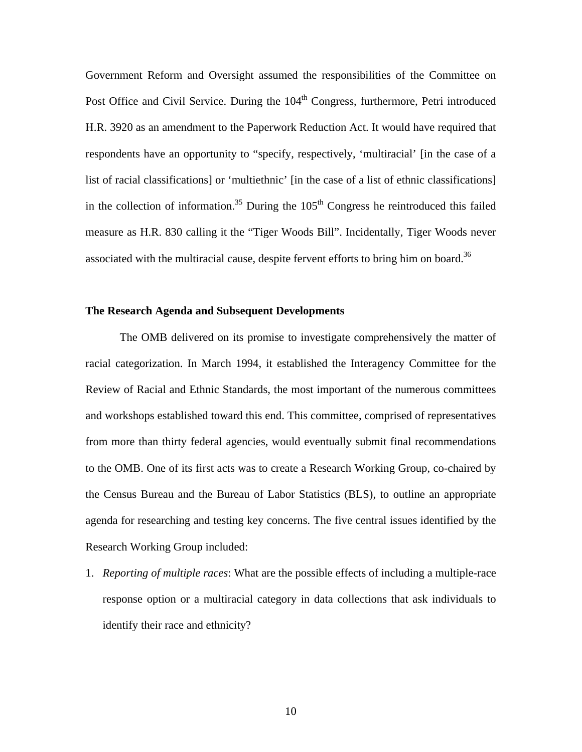associated with the multiracial cause, despite fervent efforts to bring him on board.<sup>36</sup> Government Reform and Oversight assumed the responsibilities of the Committee on Post Office and Civil Service. During the 104<sup>th</sup> Congress, furthermore, Petri introduced H.R. 3920 as an amendment to the Paperwork Reduction Act. It would have required that respondents have an opportunity to "specify, respectively, 'multiracial' [in the case of a list of racial classifications] or 'multiethnic' [in the case of a list of ethnic classifications] in the collection of information.<sup>35</sup> During the  $105<sup>th</sup>$  Congress he reintroduced this failed measure as H.R. 830 calling it the "Tiger Woods Bill". Incidentally, Tiger Woods never

# **The Research Agenda and Subsequent Developments**

The OMB delivered on its promise to investigate comprehensively the matter of racial categorization. In March 1994, it established the Interagency Committee for the Review of Racial and Ethnic Standards, the most important of the numerous committees and workshops established toward this end. This committee, comprised of representatives from more than thirty federal agencies, would eventually submit final recommendations to the OMB. One of its first acts was to create a Research Working Group, co-chaired by the Census Bureau and the Bureau of Labor Statistics (BLS), to outline an appropriate agenda for researching and testing key concerns. The five central issues identified by the Research Working Group included:

1. *Reporting of multiple races*: What are the possible effects of including a multiple-race response option or a multiracial category in data collections that ask individuals to identify their race and ethnicity?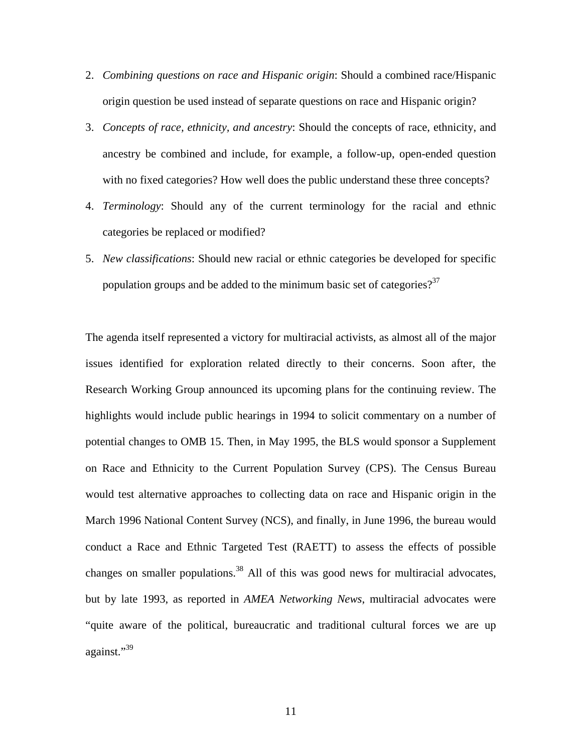- 2. *Combining questions on race and Hispanic origin*: Should a combined race/Hispanic origin question be used instead of separate questions on race and Hispanic origin?
- 3. *Concepts of race, ethnicity, and ancestry*: Should the concepts of race, ethnicity, and ancestry be combined and include, for example, a follow-up, open-ended question with no fixed categories? How well does the public understand these three concepts?
- 4. *Terminology*: Should any of the current terminology for the racial and ethnic categories be replaced or modified?
- 5. *New classifications*: Should new racial or ethnic categories be developed for specific population groups and be added to the minimum basic set of categories? $3<sup>37</sup>$

The agenda itself represented a victory for multiracial activists, as almost all of the major issues identified for exploration related directly to their concerns. Soon after, the Research Working Group announced its upcoming plans for the continuing review. The highlights would include public hearings in 1994 to solicit commentary on a number of potential changes to OMB 15. Then, in May 1995, the BLS would sponsor a Supplement on Race and Ethnicity to the Current Population Survey (CPS). The Census Bureau would test alternative approaches to collecting data on race and Hispanic origin in the March 1996 National Content Survey (NCS), and finally, in June 1996, the bureau would conduct a Race and Ethnic Targeted Test (RAETT) to assess the effects of possible changes on smaller populations.<sup>38</sup> All of this was good news for multiracial advocates, but by late 1993, as reported in *AMEA Networking News*, multiracial advocates were "quite aware of the political, bureaucratic and traditional cultural forces we are up against."[39](#page-34-38)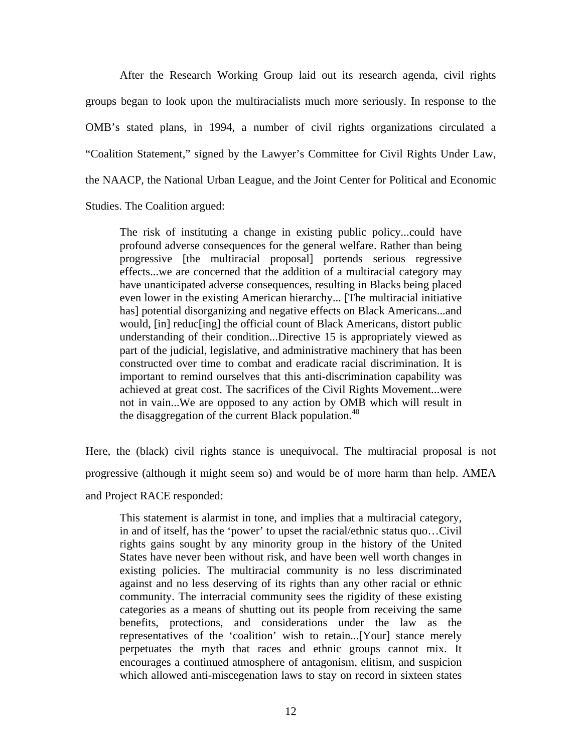After the Research Working Group laid out its research agenda, civil rights groups began to look upon the multiracialists much more seriously. In response to the OMB's stated plans, in 1994, a number of civil rights organizations circulated a "Coalition Statement," signed by the Lawyer's Committee for Civil Rights Under Law, the NAACP, the National Urban League, and the Joint Center for Political and Economic Studies. The Coalition argued:

The risk of instituting a change in existing public policy...could have profound adverse consequences for the general welfare. Rather than being progressive [the multiracial proposal] portends serious regressive effects...we are concerned that the addition of a multiracial category may have unanticipated adverse consequences, resulting in Blacks being placed even lower in the existing American hierarchy... [The multiracial initiative has] potential disorganizing and negative effects on Black Americans...and would, [in] reduc[ing] the official count of Black Americans, distort public understanding of their condition...Directive 15 is appropriately viewed as part of the judicial, legislative, and administrative machinery that has been constructed over time to combat and eradicate racial discrimination. It is important to remind ourselves that this anti-discrimination capability was achieved at great cost. The sacrifices of the Civil Rights Movement...were not in vain...We are opposed to any action by OMB which will result in the disaggregation of the current Black population. $40$ 

Here, the (black) civil rights stance is unequivocal. The multiracial proposal is not progressive (although it might seem so) and would be of more harm than help. AMEA and Project RACE responded:

This statement is alarmist in tone, and implies that a multiracial category, in and of itself, has the 'power' to upset the racial/ethnic status quo…Civil rights gains sought by any minority group in the history of the United States have never been without risk, and have been well worth changes in existing policies. The multiracial community is no less discriminated against and no less deserving of its rights than any other racial or ethnic community. The interracial community sees the rigidity of these existing categories as a means of shutting out its people from receiving the same benefits, protections, and considerations under the law as the representatives of the 'coalition' wish to retain...[Your] stance merely perpetuates the myth that races and ethnic groups cannot mix. It encourages a continued atmosphere of antagonism, elitism, and suspicion which allowed anti-miscegenation laws to stay on record in sixteen states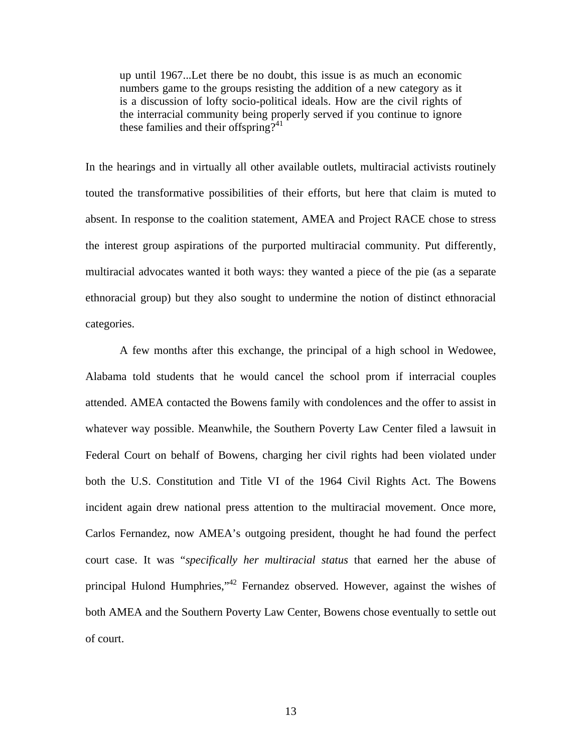up until 1967...Let there be no doubt, this issue is as much an economic numbers game to the groups resisting the addition of a new category as it is a discussion of lofty socio-political ideals. How are the civil rights of the interracial community being properly served if you continue to ignore these families and their offspring?<sup>41</sup>

In the hearings and in virtually all other available outlets, multiracial activists routinely touted the transformative possibilities of their efforts, but here that claim is muted to absent. In response to the coalition statement, AMEA and Project RACE chose to stress the interest group aspirations of the purported multiracial community. Put differently, multiracial advocates wanted it both ways: they wanted a piece of the pie (as a separate ethnoracial group) but they also sought to undermine the notion of distinct ethnoracial categories.

 court case. It was "*specifically her multiracial status* that earned her the abuse of A few months after this exchange, the principal of a high school in Wedowee, Alabama told students that he would cancel the school prom if interracial couples attended. AMEA contacted the Bowens family with condolences and the offer to assist in whatever way possible. Meanwhile, the Southern Poverty Law Center filed a lawsuit in Federal Court on behalf of Bowens, charging her civil rights had been violated under both the U.S. Constitution and Title VI of the 1964 Civil Rights Act. The Bowens incident again drew national press attention to the multiracial movement. Once more, Carlos Fernandez, now AMEA's outgoing president, thought he had found the perfect principal Hulond Humphries,"[42](#page-34-41) Fernandez observed. However, against the wishes of both AMEA and the Southern Poverty Law Center, Bowens chose eventually to settle out of court.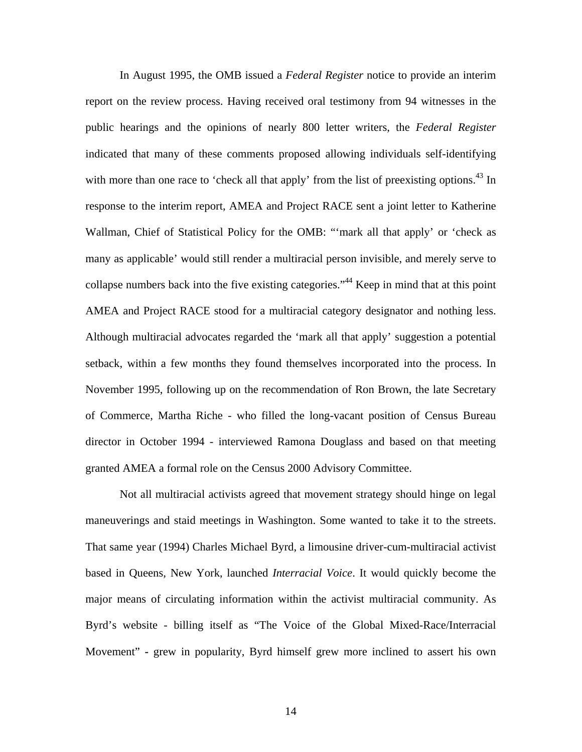In August 1995, the OMB issued a *Federal Register* notice to provide an interim report on the review process. Having received oral testimony from 94 witnesses in the public hearings and the opinions of nearly 800 letter writers, the *Federal Register*  indicated that many of these comments proposed allowing individuals self-identifying with more than one race to 'check all that apply' from the list of preexisting options.<sup>43</sup> In response to the interim report, AMEA and Project RACE sent a joint letter to Katherine Wallman, Chief of Statistical Policy for the OMB: "'mark all that apply' or 'check as many as applicable' would still render a multiracial person invisible, and merely serve to collapse numbers back into the five existing categories.["44](#page-34-43) Keep in mind that at this point AMEA and Project RACE stood for a multiracial category designator and nothing less. Although multiracial advocates regarded the 'mark all that apply' suggestion a potential setback, within a few months they found themselves incorporated into the process. In November 1995, following up on the recommendation of Ron Brown, the late Secretary of Commerce, Martha Riche - who filled the long-vacant position of Census Bureau director in October 1994 - interviewed Ramona Douglass and based on that meeting granted AMEA a formal role on the Census 2000 Advisory Committee.

Not all multiracial activists agreed that movement strategy should hinge on legal maneuverings and staid meetings in Washington. Some wanted to take it to the streets. That same year (1994) Charles Michael Byrd, a limousine driver-cum-multiracial activist based in Queens, New York, launched *Interracial Voice*. It would quickly become the major means of circulating information within the activist multiracial community. As Byrd's website - billing itself as "The Voice of the Global Mixed-Race/Interracial Movement" **-** grew in popularity, Byrd himself grew more inclined to assert his own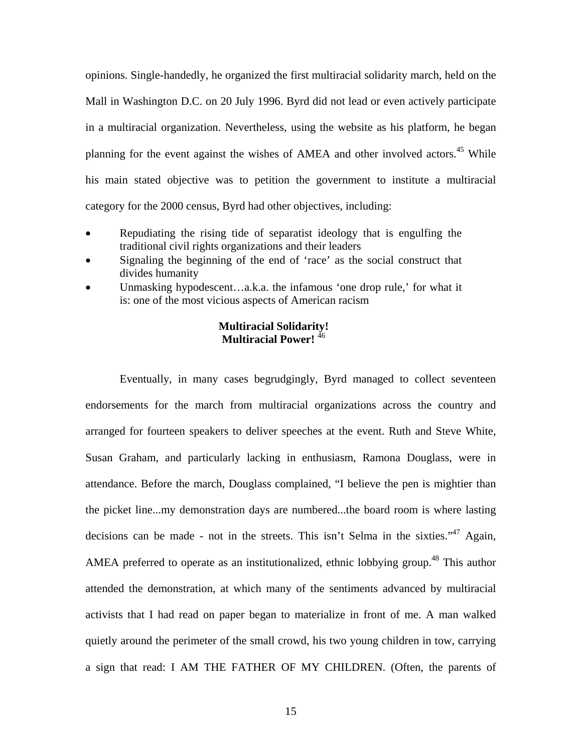opinions. Single-handedly, he organized the first multiracial solidarity march, held on the Mall in Washington D.C. on 20 July 1996. Byrd did not lead or even actively participate in a multiracial organization. Nevertheless, using the website as his platform, he began planning for the event against the wishes of AMEA and other involved actors.<sup>45</sup> While his main stated objective was to petition the government to institute a multiracial category for the 2000 census, Byrd had other objectives, including:

- Repudiating the rising tide of separatist ideology that is engulfing the traditional civil rights organizations and their leaders
- Signaling the beginning of the end of 'race' as the social construct that divides humanity
- Unmasking hypodescent…a.k.a. the infamous 'one drop rule,' for what it is: one of the most vicious aspects of American racism

# **Multiracial Solidarity! Multiracial Power!** [46](#page-34-45)

Eventually, in many cases begrudgingly, Byrd managed to collect seventeen endorsements for the march from multiracial organizations across the country and arranged for fourteen speakers to deliver speeches at the event. Ruth and Steve White, Susan Graham, and particularly lacking in enthusiasm, Ramona Douglass, were in attendance. Before the march, Douglass complained, "I believe the pen is mightier than the picket line...my demonstration days are numbered...the board room is where lasting decisions can be made - not in the streets. This isn't Selma in the sixties."<sup>47</sup> Again, AMEA preferred to operate as an institutionalized, ethnic lobbying group.<sup>48</sup> This author attended the demonstration, at which many of the sentiments advanced by multiracial activists that I had read on paper began to materialize in front of me. A man walked quietly around the perimeter of the small crowd, his two young children in tow, carrying a sign that read: I AM THE FATHER OF MY CHILDREN. (Often, the parents of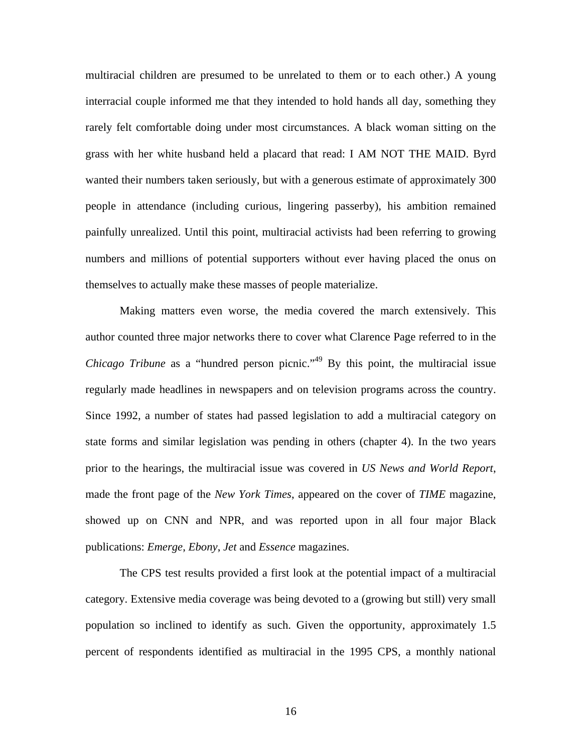multiracial children are presumed to be unrelated to them or to each other.) A young interracial couple informed me that they intended to hold hands all day, something they rarely felt comfortable doing under most circumstances. A black woman sitting on the grass with her white husband held a placard that read: I AM NOT THE MAID. Byrd wanted their numbers taken seriously, but with a generous estimate of approximately 300 people in attendance (including curious, lingering passerby), his ambition remained painfully unrealized. Until this point, multiracial activists had been referring to growing numbers and millions of potential supporters without ever having placed the onus on themselves to actually make these masses of people materialize.

Making matters even worse, the media covered the march extensively. This author counted three major networks there to cover what Clarence Page referred to in the *Chicago Tribune* as a "hundred person picnic."<sup>49</sup> By this point, the multiracial issue regularly made headlines in newspapers and on television programs across the country. Since 1992, a number of states had passed legislation to add a multiracial category on state forms and similar legislation was pending in others (chapter 4). In the two years prior to the hearings, the multiracial issue was covered in *US News and World Report*, made the front page of the *New York Times*, appeared on the cover of *TIME* magazine, showed up on CNN and NPR, and was reported upon in all four major Black publications: *Emerge*, *Ebony*, *Jet* and *Essence* magazines.

The CPS test results provided a first look at the potential impact of a multiracial category. Extensive media coverage was being devoted to a (growing but still) very small population so inclined to identify as such. Given the opportunity, approximately 1.5 percent of respondents identified as multiracial in the 1995 CPS, a monthly national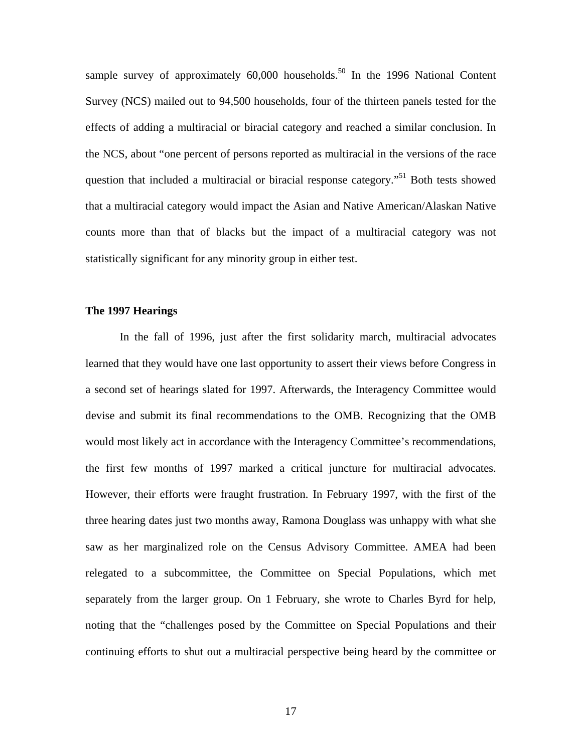sample survey of approximately  $60,000$  households.<sup>50</sup> In the 1996 National Content Survey (NCS) mailed out to 94,500 households, four of the thirteen panels tested for the effects of adding a multiracial or biracial category and reached a similar conclusion. In the NCS, about "one percent of persons reported as multiracial in the versions of the race question that included a multiracial or biracial response category.<sup>51</sup> Both tests showed that a multiracial category would impact the Asian and Native American/Alaskan Native counts more than that of blacks but the impact of a multiracial category was not statistically significant for any minority group in either test.

## **The 1997 Hearings**

In the fall of 1996, just after the first solidarity march, multiracial advocates learned that they would have one last opportunity to assert their views before Congress in a second set of hearings slated for 1997. Afterwards, the Interagency Committee would devise and submit its final recommendations to the OMB. Recognizing that the OMB would most likely act in accordance with the Interagency Committee's recommendations, the first few months of 1997 marked a critical juncture for multiracial advocates. However, their efforts were fraught frustration. In February 1997, with the first of the three hearing dates just two months away, Ramona Douglass was unhappy with what she saw as her marginalized role on the Census Advisory Committee. AMEA had been relegated to a subcommittee, the Committee on Special Populations, which met separately from the larger group. On 1 February, she wrote to Charles Byrd for help, noting that the "challenges posed by the Committee on Special Populations and their continuing efforts to shut out a multiracial perspective being heard by the committee or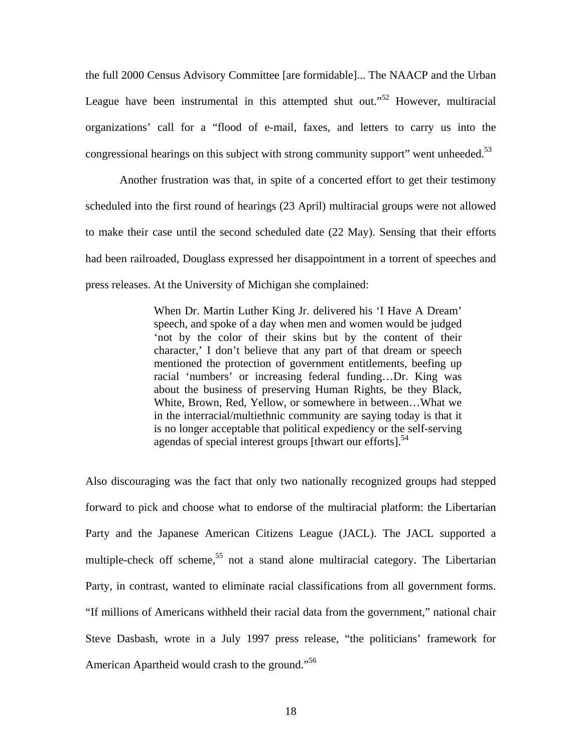the full 2000 Census Advisory Committee [are formidable]... The NAACP and the Urban League have been instrumental in this attempted shut out."<sup>52</sup> However, multiracial organizations' call for a "flood of e-mail, faxes, and letters to carry us into the congressional hearings on this subject with strong community support" went unheeded.<sup>53</sup>

Another frustration was that, in spite of a concerted effort to get their testimony scheduled into the first round of hearings (23 April) multiracial groups were not allowed to make their case until the second scheduled date (22 May). Sensing that their efforts had been railroaded, Douglass expressed her disappointment in a torrent of speeches and press releases. At the University of Michigan she complained:

> When Dr. Martin Luther King Jr. delivered his 'I Have A Dream' speech, and spoke of a day when men and women would be judged 'not by the color of their skins but by the content of their character,' I don't believe that any part of that dream or speech mentioned the protection of government entitlements, beefing up racial 'numbers' or increasing federal funding…Dr. King was about the business of preserving Human Rights, be they Black, White, Brown, Red, Yellow, or somewhere in between…What we in the interracial/multiethnic community are saying today is that it is no longer acceptable that political expediency or the self-serving agendas of special interest groups [thwart our efforts].<sup>54</sup>

American Apartheid would crash to the ground."<sup>56</sup> Also discouraging was the fact that only two nationally recognized groups had stepped forward to pick and choose what to endorse of the multiracial platform: the Libertarian Party and the Japanese American Citizens League (JACL). The JACL supported a multiple-check off scheme,<sup>55</sup> not a stand alone multiracial category. The Libertarian Party, in contrast, wanted to eliminate racial classifications from all government forms. "If millions of Americans withheld their racial data from the government," national chair Steve Dasbash, wrote in a July 1997 press release, "the politicians' framework for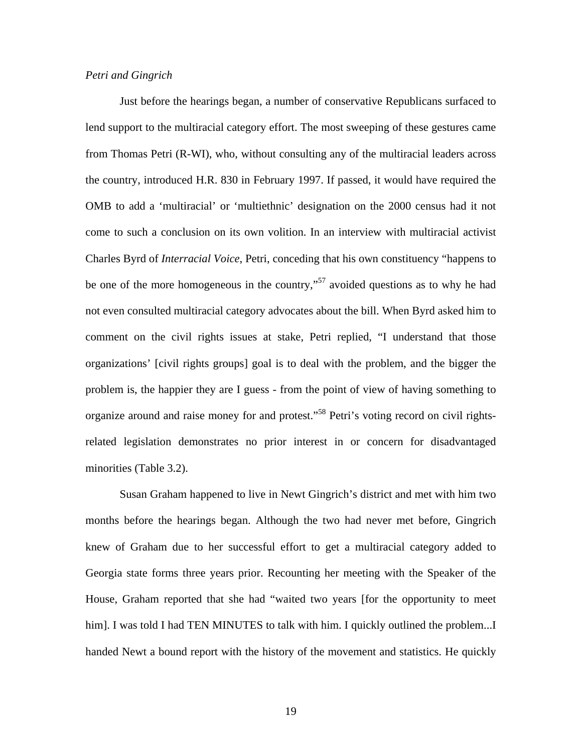# *Petri and Gingrich*

Just before the hearings began, a number of conservative Republicans surfaced to lend support to the multiracial category effort. The most sweeping of these gestures came from Thomas Petri (R-WI), who, without consulting any of the multiracial leaders across the country, introduced H.R. 830 in February 1997. If passed, it would have required the OMB to add a 'multiracial' or 'multiethnic' designation on the 2000 census had it not come to such a conclusion on its own volition. In an interview with multiracial activist Charles Byrd of *Interracial Voice*, Petri, conceding that his own constituency "happens to be one of the more homogeneous in the country,"[57](#page-34-25) avoided questions as to why he had not even consulted multiracial category advocates about the bill. When Byrd asked him to comment on the civil rights issues at stake, Petri replied, "I understand that those organizations' [civil rights groups] goal is to deal with the problem, and the bigger the problem is, the happier they are I guess - from the point of view of having something to organize around and raise money for and protest."<sup>58</sup> Petri's voting record on civil rightsrelated legislation demonstrates no prior interest in or concern for disadvantaged minorities (Table 3.2).

Susan Graham happened to live in Newt Gingrich's district and met with him two months before the hearings began. Although the two had never met before, Gingrich knew of Graham due to her successful effort to get a multiracial category added to Georgia state forms three years prior. Recounting her meeting with the Speaker of the House, Graham reported that she had "waited two years [for the opportunity to meet him]. I was told I had TEN MINUTES to talk with him. I quickly outlined the problem...I handed Newt a bound report with the history of the movement and statistics. He quickly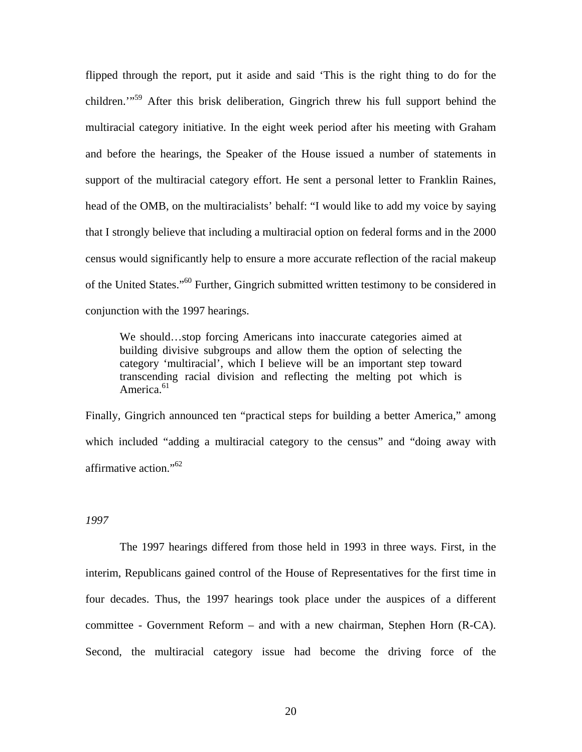flipped through the report, put it aside and said 'This is the right thing to do for the children.'"[59](#page-34-28) After this brisk deliberation, Gingrich threw his full support behind the multiracial category initiative. In the eight week period after his meeting with Graham and before the hearings, the Speaker of the House issued a number of statements in support of the multiracial category effort. He sent a personal letter to Franklin Raines, head of the OMB, on the multiracialists' behalf: "I would like to add my voice by saying that I strongly believe that including a multiracial option on federal forms and in the 2000 census would significantly help to ensure a more accurate reflection of the racial makeup of the United States."<sup>60</sup> Further, Gingrich submitted written testimony to be considered in conjunction with the 1997 hearings.

America.<sup>61</sup> We should…stop forcing Americans into inaccurate categories aimed at building divisive subgroups and allow them the option of selecting the category 'multiracial', which I believe will be an important step toward transcending racial division and reflecting the melting pot which is

affirmative action."<sup>62</sup> Finally, Gingrich announced ten "practical steps for building a better America," among which included "adding a multiracial category to the census" and "doing away with

## *1997*

The 1997 hearings differed from those held in 1993 in three ways. First, in the interim, Republicans gained control of the House of Representatives for the first time in four decades. Thus, the 1997 hearings took place under the auspices of a different committee - Government Reform – and with a new chairman, Stephen Horn (R-CA). Second, the multiracial category issue had become the driving force of the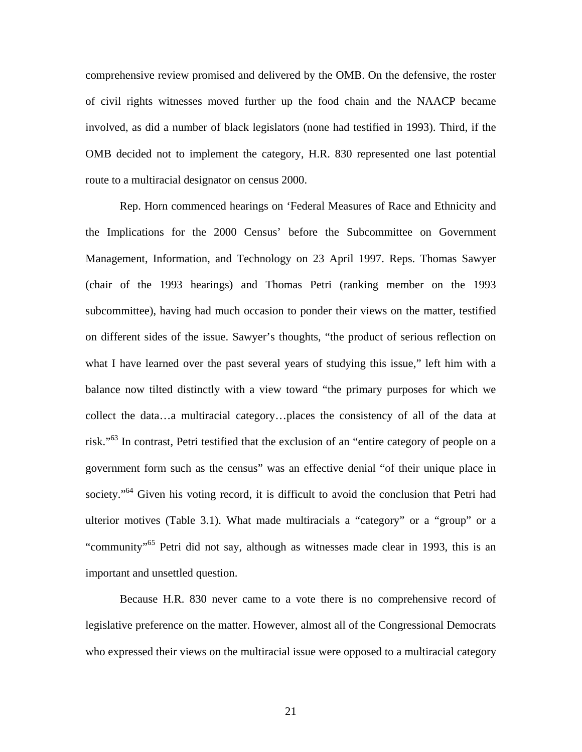route to a multiracial designator on census 2000. comprehensive review promised and delivered by the OMB. On the defensive, the roster of civil rights witnesses moved further up the food chain and the NAACP became involved, as did a number of black legislators (none had testified in 1993). Third, if the OMB decided not to implement the category, H.R. 830 represented one last potential

Rep. Horn commenced hearings on 'Federal Measures of Race and Ethnicity and the Implications for the 2000 Census' before the Subcommittee on Government Management, Information, and Technology on 23 April 1997. Reps. Thomas Sawyer (chair of the 1993 hearings) and Thomas Petri (ranking member on the 1993 subcommittee), having had much occasion to ponder their views on the matter, testified on different sides of the issue. Sawyer's thoughts, "the product of serious reflection on what I have learned over the past several years of studying this issue," left him with a balance now tilted distinctly with a view toward "the primary purposes for which we collect the data…a multiracial category…places the consistency of all of the data at risk."<sup>63</sup> In contrast, Petri testified that the exclusion of an "entire category of people on a government form such as the census" was an effective denial "of their unique place in society."<sup>64</sup> Given his voting record, it is difficult to avoid the conclusion that Petri had ulterior motives (Table 3.1). What made multiracials a "category" or a "group" or a "community["65](#page-34-34) Petri did not say, although as witnesses made clear in 1993, this is an important and unsettled question.

Because H.R. 830 never came to a vote there is no comprehensive record of legislative preference on the matter. However, almost all of the Congressional Democrats who expressed their views on the multiracial issue were opposed to a multiracial category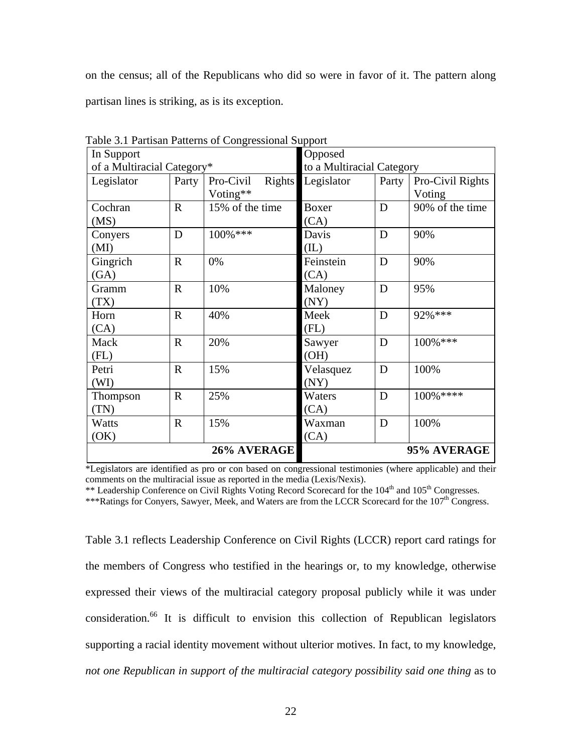on the census; all of the Republicans who did so were in favor of it. The pattern along partisan lines is striking, as is its exception.

| raone $\mathcal{I}$ . Furthold Function of Congressional Dupport<br>In Support |             |                            | Opposed                   |       |                  |
|--------------------------------------------------------------------------------|-------------|----------------------------|---------------------------|-------|------------------|
| of a Multiracial Category*                                                     |             |                            | to a Multiracial Category |       |                  |
| Legislator                                                                     | Party       | Pro-Civil<br><b>Rights</b> | Legislator                | Party | Pro-Civil Rights |
|                                                                                |             | Voting**                   |                           |       | Voting           |
| Cochran                                                                        | $\mathbf R$ | 15% of the time            | Boxer                     | D     | 90% of the time  |
| (MS)                                                                           |             |                            | (CA)                      |       |                  |
| Conyers                                                                        | D           | 100%***                    | Davis                     | D     | 90%              |
| (MI)                                                                           |             |                            | (IL)                      |       |                  |
| Gingrich                                                                       | $\mathbf R$ | 0%                         | Feinstein                 | D     | 90%              |
| (GA)                                                                           |             |                            | (CA)                      |       |                  |
| Gramm                                                                          | $\mathbf R$ | 10%                        | Maloney                   | D     | 95%              |
| (TX)                                                                           |             |                            | (NY)                      |       |                  |
| Horn                                                                           | $\mathbf R$ | 40%                        | Meek                      | D     | 92% ***          |
| (CA)                                                                           |             |                            | (FL)                      |       |                  |
| Mack                                                                           | $\mathbf R$ | 20%                        | Sawyer                    | D     | 100%***          |
| (FL)                                                                           |             |                            | (OH)                      |       |                  |
| Petri                                                                          | $\mathbf R$ | 15%                        | Velasquez                 | D     | 100%             |
| (WI)                                                                           |             |                            | (NY)                      |       |                  |
| Thompson                                                                       | $\mathbf R$ | 25%                        | Waters                    | D     | 100%****         |
| (TN)                                                                           |             |                            | (CA)                      |       |                  |
| Watts                                                                          | $\mathbf R$ | 15%                        | Waxman                    | D     | 100%             |
| (OK)                                                                           |             |                            | (CA)                      |       |                  |
| 26% AVERAGE                                                                    |             |                            | 95% AVERAGE               |       |                  |

Table 3.1 Partisan Patterns of Congressional Support

\*Legislators are identified as pro or con based on congressional testimonies (where applicable) and their comments on the multiracial issue as reported in the media (Lexis/Nexis).

\*\* Leadership Conference on Civil Rights Voting Record Scorecard for the 104<sup>th</sup> and 105<sup>th</sup> Congresses.

\*\*\*Ratings for Conyers, Sawyer, Meek, and Waters are from the LCCR Scorecard for the 107<sup>th</sup> Congress.

Table 3.1 reflects Leadership Conference on Civil Rights (LCCR) report card ratings for the members of Congress who testified in the hearings or, to my knowledge, otherwise expressed their views of the multiracial category proposal publicly while it was under consideration.[66](#page-34-57) It is difficult to envision this collection of Republican legislators supporting a racial identity movement without ulterior motives. In fact, to my knowledge, *not one Republican in support of the multiracial category possibility said one thing* as to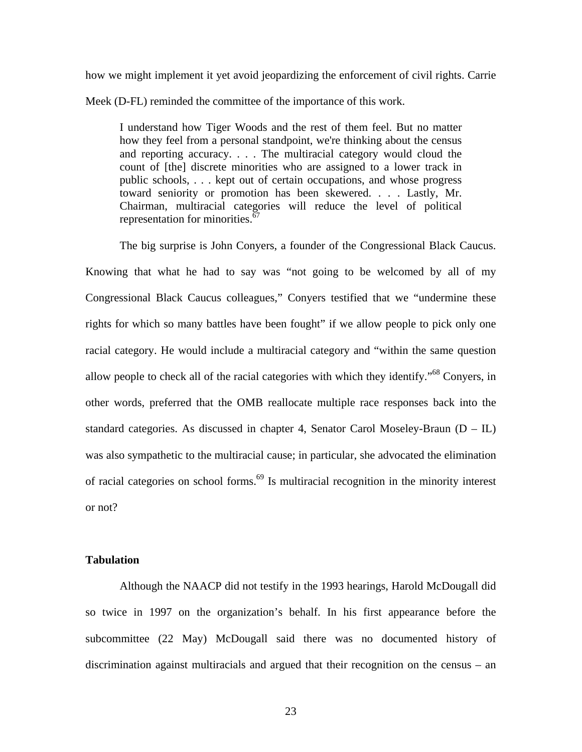how we might implement it yet avoid jeopardizing the enforcement of civil rights. Carrie Meek (D-FL) reminded the committee of the importance of this work.

I understand how Tiger Woods and the rest of them feel. But no matter how they feel from a personal standpoint, we're thinking about the census and reporting accuracy. . . . The multiracial category would cloud the count of [the] discrete minorities who are assigned to a lower track in public schools, . . . kept out of certain occupations, and whose progress toward seniority or promotion has been skewered. . . . Lastly, Mr. Chairman, multiracial categories will reduce the level of political representation for minorities.<sup>67</sup>

 or not? The big surprise is John Conyers, a founder of the Congressional Black Caucus. Knowing that what he had to say was "not going to be welcomed by all of my Congressional Black Caucus colleagues," Conyers testified that we "undermine these rights for which so many battles have been fought" if we allow people to pick only one racial category. He would include a multiracial category and "within the same question allow people to check all of the racial categories with which they identify."<sup>68</sup> Convers, in other words, preferred that the OMB reallocate multiple race responses back into the standard categories. As discussed in chapter 4, Senator Carol Moseley-Braun  $(D - IL)$ was also sympathetic to the multiracial cause; in particular, she advocated the elimination of racial categories on school forms.<sup>69</sup> Is multiracial recognition in the minority interest

# **Tabulation**

Although the NAACP did not testify in the 1993 hearings, Harold McDougall did so twice in 1997 on the organization's behalf. In his first appearance before the subcommittee (22 May) McDougall said there was no documented history of discrimination against multiracials and argued that their recognition on the census – an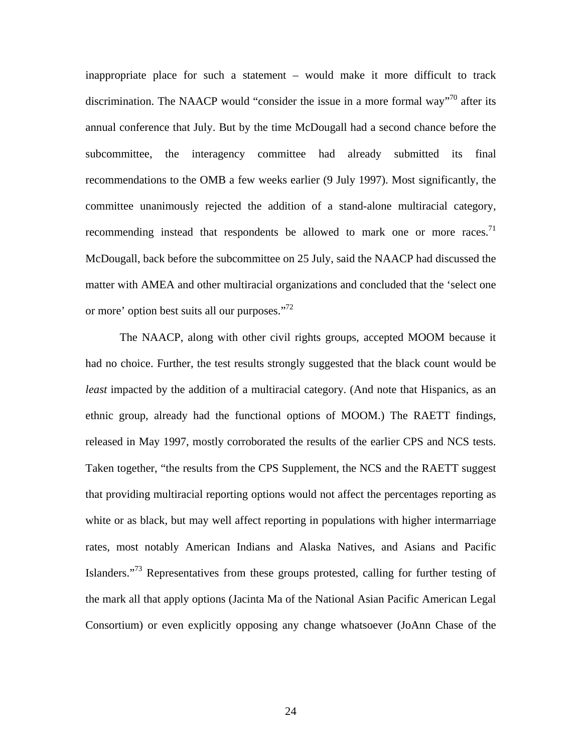or more' option best suits all our purposes."<sup>72</sup> inappropriate place for such a statement – would make it more difficult to track discrimination. The NAACP would "consider the issue in a more formal way"<sup>70</sup> after its annual conference that July. But by the time McDougall had a second chance before the subcommittee, the interagency committee had already submitted its final recommendations to the OMB a few weeks earlier (9 July 1997). Most significantly, the committee unanimously rejected the addition of a stand-alone multiracial category, recommending instead that respondents be allowed to mark one or more races.<sup>71</sup> McDougall, back before the subcommittee on 25 July, said the NAACP had discussed the matter with AMEA and other multiracial organizations and concluded that the 'select one

The NAACP, along with other civil rights groups, accepted MOOM because it had no choice. Further, the test results strongly suggested that the black count would be *least* impacted by the addition of a multiracial category. (And note that Hispanics, as an ethnic group, already had the functional options of MOOM.) The RAETT findings, released in May 1997, mostly corroborated the results of the earlier CPS and NCS tests. Taken together, "the results from the CPS Supplement, the NCS and the RAETT suggest that providing multiracial reporting options would not affect the percentages reporting as white or as black, but may well affect reporting in populations with higher intermarriage rates, most notably American Indians and Alaska Natives, and Asians and Pacific Islanders."[73](#page-34-62) Representatives from these groups protested, calling for further testing of the mark all that apply options (Jacinta Ma of the National Asian Pacific American Legal Consortium) or even explicitly opposing any change whatsoever (JoAnn Chase of the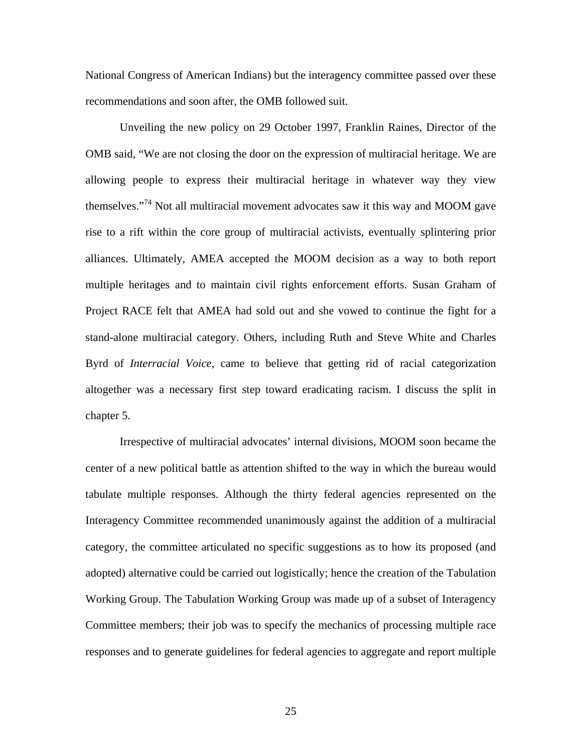National Congress of American Indians) but the interagency committee passed over these recommendations and soon after, the OMB followed suit.

Unveiling the new policy on 29 October 1997, Franklin Raines, Director of the OMB said, "We are not closing the door on the expression of multiracial heritage. We are allowing people to express their multiracial heritage in whatever way they view themselves."[74](#page-34-63) Not all multiracial movement advocates saw it this way and MOOM gave rise to a rift within the core group of multiracial activists, eventually splintering prior alliances. Ultimately, AMEA accepted the MOOM decision as a way to both report multiple heritages and to maintain civil rights enforcement efforts. Susan Graham of Project RACE felt that AMEA had sold out and she vowed to continue the fight for a stand-alone multiracial category. Others, including Ruth and Steve White and Charles Byrd of *Interracial Voice*, came to believe that getting rid of racial categorization altogether was a necessary first step toward eradicating racism. I discuss the split in chapter 5.

Irrespective of multiracial advocates' internal divisions, MOOM soon became the center of a new political battle as attention shifted to the way in which the bureau would tabulate multiple responses. Although the thirty federal agencies represented on the Interagency Committee recommended unanimously against the addition of a multiracial category, the committee articulated no specific suggestions as to how its proposed (and adopted) alternative could be carried out logistically; hence the creation of the Tabulation Working Group. The Tabulation Working Group was made up of a subset of Interagency Committee members; their job was to specify the mechanics of processing multiple race responses and to generate guidelines for federal agencies to aggregate and report multiple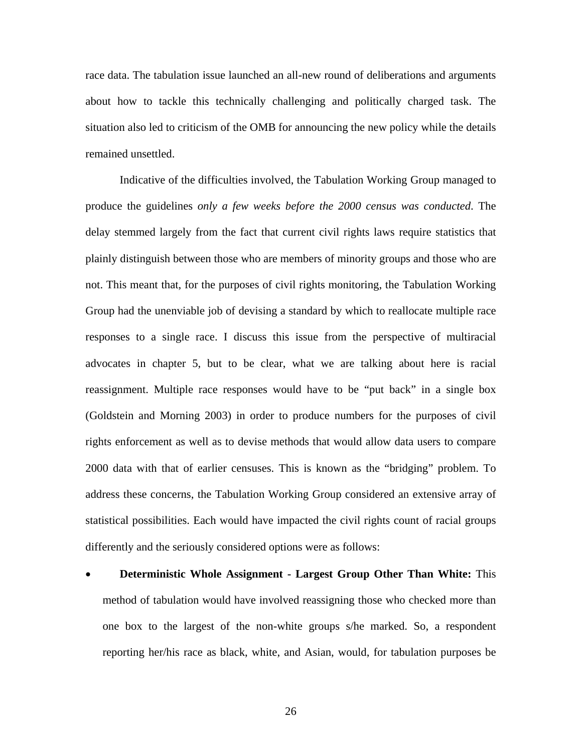race data. The tabulation issue launched an all-new round of deliberations and arguments about how to tackle this technically challenging and politically charged task. The situation also led to criticism of the OMB for announcing the new policy while the details remained unsettled.

Indicative of the difficulties involved, the Tabulation Working Group managed to produce the guidelines *only a few weeks before the 2000 census was conducted*. The delay stemmed largely from the fact that current civil rights laws require statistics that plainly distinguish between those who are members of minority groups and those who are not. This meant that, for the purposes of civil rights monitoring, the Tabulation Working Group had the unenviable job of devising a standard by which to reallocate multiple race responses to a single race. I discuss this issue from the perspective of multiracial advocates in chapter 5, but to be clear, what we are talking about here is racial reassignment. Multiple race responses would have to be "put back" in a single box (Goldstein and Morning 2003) in order to produce numbers for the purposes of civil rights enforcement as well as to devise methods that would allow data users to compare 2000 data with that of earlier censuses. This is known as the "bridging" problem. To address these concerns, the Tabulation Working Group considered an extensive array of statistical possibilities. Each would have impacted the civil rights count of racial groups differently and the seriously considered options were as follows:

**Deterministic Whole Assignment - Largest Group Other Than White:** This method of tabulation would have involved reassigning those who checked more than one box to the largest of the non-white groups s/he marked. So, a respondent reporting her/his race as black, white, and Asian, would, for tabulation purposes be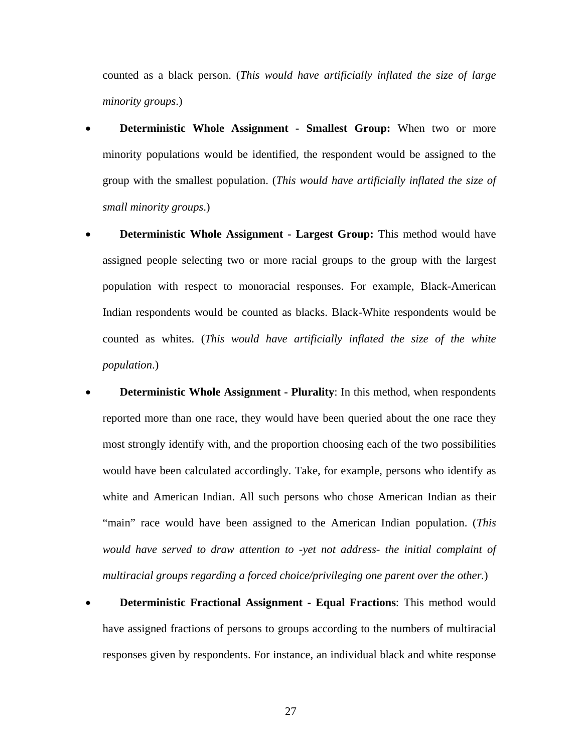counted as a black person. (*This would have artificially inflated the size of large minority groups*.)

- **Deterministic Whole Assignment Smallest Group:** When two or more minority populations would be identified, the respondent would be assigned to the group with the smallest population. (*This would have artificially inflated the size of small minority groups*.)
- **Deterministic Whole Assignment Largest Group:** This method would have assigned people selecting two or more racial groups to the group with the largest population with respect to monoracial responses. For example, Black-American Indian respondents would be counted as blacks. Black-White respondents would be counted as whites. (*This would have artificially inflated the size of the white population*.)
- **Deterministic Whole Assignment Plurality**: In this method, when respondents reported more than one race, they would have been queried about the one race they most strongly identify with, and the proportion choosing each of the two possibilities would have been calculated accordingly. Take, for example, persons who identify as white and American Indian. All such persons who chose American Indian as their "main" race would have been assigned to the American Indian population. (*This would have served to draw attention to -yet not address- the initial complaint of multiracial groups regarding a forced choice/privileging one parent over the other.*)
- **Deterministic Fractional Assignment Equal Fractions**: This method would have assigned fractions of persons to groups according to the numbers of multiracial responses given by respondents. For instance, an individual black and white response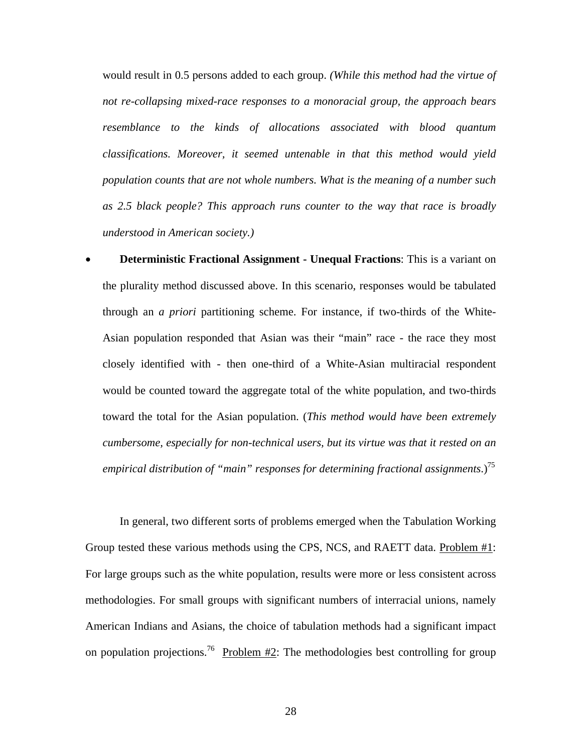would result in 0.5 persons added to each group. *(While this method had the virtue of not re-collapsing mixed-race responses to a monoracial group, the approach bears resemblance to the kinds of allocations associated with blood quantum classifications. Moreover, it seemed untenable in that this method would yield population counts that are not whole numbers. What is the meaning of a number such as 2.5 black people? This approach runs counter to the way that race is broadly understood in American society.)* 

**Deterministic Fractional Assignment - Unequal Fractions:** This is a variant on the plurality method discussed above. In this scenario, responses would be tabulated through an *a priori* partitioning scheme. For instance, if two-thirds of the White-Asian population responded that Asian was their "main" race - the race they most closely identified with - then one-third of a White-Asian multiracial respondent would be counted toward the aggregate total of the white population, and two-thirds toward the total for the Asian population. (*This method would have been extremely cumbersome, especially for non-technical users, but its virtue was that it rested on an empirical distribution of "main" responses for determining fractional assignments*.[\)75](#page-34-64) 

on population projections.<sup>76</sup> Problem  $\#2$ : The methodologies best controlling for group In general, two different sorts of problems emerged when the Tabulation Working Group tested these various methods using the CPS, NCS, and RAETT data. Problem #1: For large groups such as the white population, results were more or less consistent across methodologies. For small groups with significant numbers of interracial unions, namely American Indians and Asians, the choice of tabulation methods had a significant impact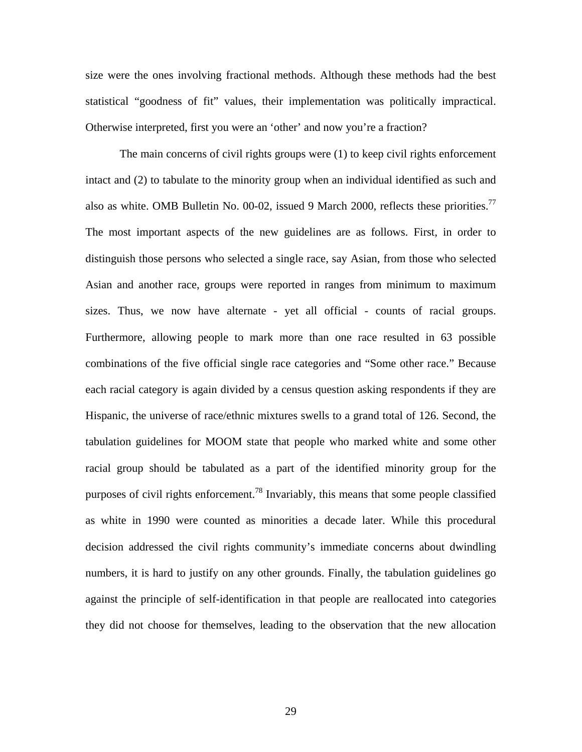size were the ones involving fractional methods. Although these methods had the best statistical "goodness of fit" values, their implementation was politically impractical. Otherwise interpreted, first you were an 'other' and now you're a fraction?

The main concerns of civil rights groups were (1) to keep civil rights enforcement intact and (2) to tabulate to the minority group when an individual identified as such and also as white. OMB Bulletin No. 00-02, issued 9 March 2000, reflects these priorities.<sup>77</sup> The most important aspects of the new guidelines are as follows. First, in order to distinguish those persons who selected a single race, say Asian, from those who selected Asian and another race, groups were reported in ranges from minimum to maximum sizes. Thus, we now have alternate - yet all official - counts of racial groups. Furthermore, allowing people to mark more than one race resulted in 63 possible combinations of the five official single race categories and "Some other race." Because each racial category is again divided by a census question asking respondents if they are Hispanic, the universe of race/ethnic mixtures swells to a grand total of 126. Second, the tabulation guidelines for MOOM state that people who marked white and some other racial group should be tabulated as a part of the identified minority group for the purposes of civil rights enforcement.[78](#page-34-48) Invariably, this means that some people classified as white in 1990 were counted as minorities a decade later. While this procedural decision addressed the civil rights community's immediate concerns about dwindling numbers, it is hard to justify on any other grounds. Finally, the tabulation guidelines go against the principle of self-identification in that people are reallocated into categories they did not choose for themselves, leading to the observation that the new allocation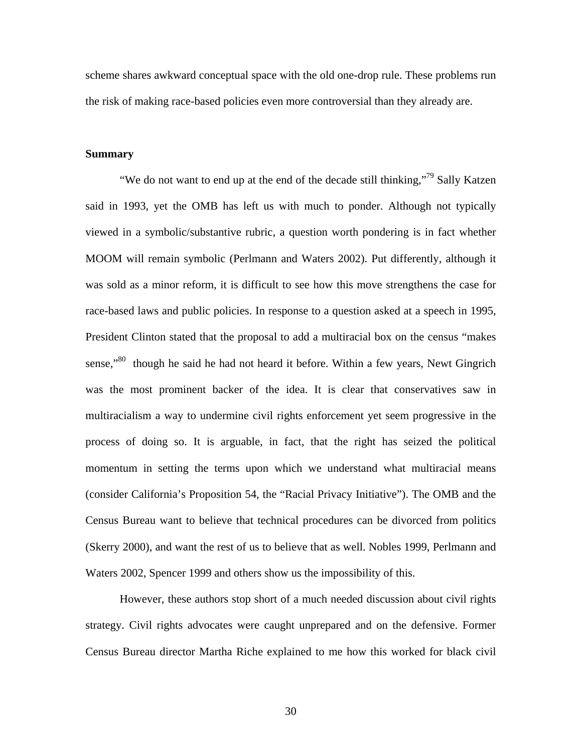scheme shares awkward conceptual space with the old one-drop rule. These problems run the risk of making race-based policies even more controversial than they already are.

#### **Summary**

"We do not want to end up at the end of the decade still thinking,"<sup>79</sup> Sally Katzen said in 1993, yet the OMB has left us with much to ponder. Although not typically viewed in a symbolic/substantive rubric, a question worth pondering is in fact whether MOOM will remain symbolic (Perlmann and Waters 2002). Put differently, although it was sold as a minor reform, it is difficult to see how this move strengthens the case for race-based laws and public policies. In response to a question asked at a speech in 1995, President Clinton stated that the proposal to add a multiracial box on the census "makes sense,"<sup>80</sup> though he said he had not heard it before. Within a few years, Newt Gingrich was the most prominent backer of the idea. It is clear that conservatives saw in multiracialism a way to undermine civil rights enforcement yet seem progressive in the process of doing so. It is arguable, in fact, that the right has seized the political momentum in setting the terms upon which we understand what multiracial means (consider California's Proposition 54, the "Racial Privacy Initiative"). The OMB and the Census Bureau want to believe that technical procedures can be divorced from politics (Skerry 2000), and want the rest of us to believe that as well. Nobles 1999, Perlmann and Waters 2002, Spencer 1999 and others show us the impossibility of this.

However, these authors stop short of a much needed discussion about civil rights strategy. Civil rights advocates were caught unprepared and on the defensive. Former Census Bureau director Martha Riche explained to me how this worked for black civil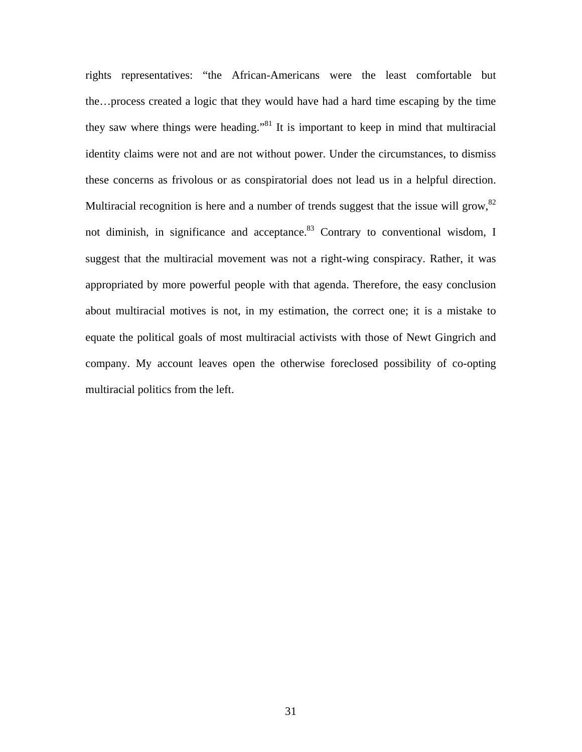rights representatives: "the African-Americans were the least comfortable but the…process created a logic that they would have had a hard time escaping by the time they saw where things were heading."<sup>81</sup> It is important to keep in mind that multiracial identity claims were not and are not without power. Under the circumstances, to dismiss these concerns as frivolous or as conspiratorial does not lead us in a helpful direction. Multiracial recognition is here and a number of trends suggest that the issue will grow, $82$ not diminish, in significance and acceptance.<sup>83</sup> Contrary to conventional wisdom, I suggest that the multiracial movement was not a right-wing conspiracy. Rather, it was appropriated by more powerful people with that agenda. Therefore, the easy conclusion about multiracial motives is not, in my estimation, the correct one; it is a mistake to equate the political goals of most multiracial activists with those of Newt Gingrich and company. My account leaves open the otherwise foreclosed possibility of co-opting multiracial politics from the left.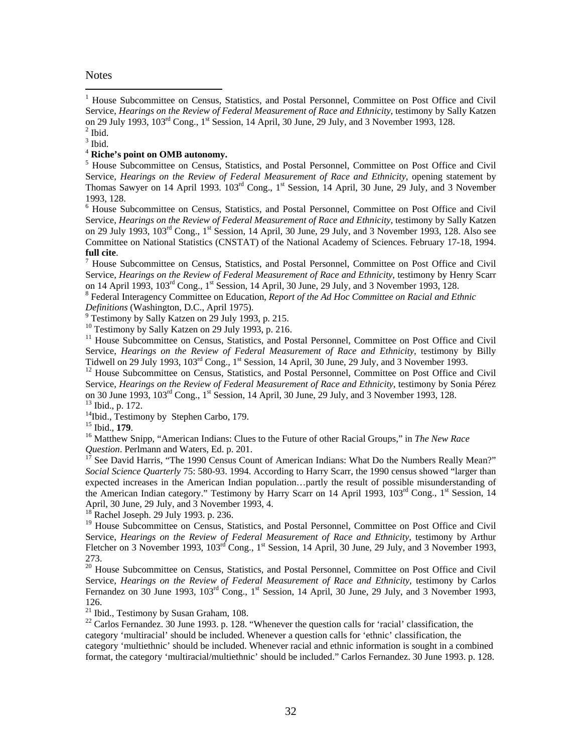#### **Notes**

 $\overline{a}$ 

on 29 July 1993,  $103^{\text{rd}}$  Cong.,  $1^{\text{st}}$  Session, 14 April, 30 June, 29 July, and 3 November 1993, 128. <sup>1</sup> House Subcommittee on Census, Statistics, and Postal Personnel, Committee on Post Office and Civil Service, *Hearings on the Review of Federal Measurement of Race and Ethnicity*, testimony by Sally Katzen  $<sup>2</sup>$  Ibid.</sup>

 $3$  Ibid.

## <sup>4</sup>**Riche's point on OMB autonomy.**

Thomas Sawyer on 14 April 1993. 103<sup>rd</sup> Cong., 1<sup>st</sup> Session, 14 April, 30 June, 29 July, and 3 November <sup>5</sup> House Subcommittee on Census, Statistics, and Postal Personnel, Committee on Post Office and Civil Service, *Hearings on the Review of Federal Measurement of Race and Ethnicity*, opening statement by 1993, 128.

<sup>6</sup> House Subcommittee on Census, Statistics, and Postal Personnel, Committee on Post Office and Civil Service, *Hearings on the Review of Federal Measurement of Race and Ethnicity*, testimony by Sally Katzen on 29 July 1993, 103<sup>rd</sup> Cong., 1<sup>st</sup> Session, 14 April, 30 June, 29 July, and 3 November 1993, 128. Also see Committee on National Statistics (CNSTAT) of the National Academy of Sciences. February 17-18, 1994. **full cite**. 7

 Service, *Hearings on the Review of Federal Measurement of Race and Ethnicity*, testimony by Henry Scarr House Subcommittee on Census, Statistics, and Postal Personnel, Committee on Post Office and Civil on 14 April 1993,  $103^{\text{rd}}$  Cong., 1st Session, 14 April, 30 June, 29 July, and 3 November 1993, 128.

 Federal Interagency Committee on Education, *Report of the Ad Hoc Committee on Racial and Ethnic Definitions* (Washington, D.C., April 1975).

Testimony by Sally Katzen on 29 July 1993, p. 215.

<sup>10</sup> Testimony by Sally Katzen on 29 July 1993, p. 216.

<sup>11</sup> House Subcommittee on Census, Statistics, and Postal Personnel, Committee on Post Office and Civil Service, *Hearings on the Review of Federal Measurement of Race and Ethnicity*, testimony by Billy Tidwell on 29 July 1993, 103<sup>rd</sup> Cong., 1<sup>st</sup> Session, 14 April, 30 June, 29 July, and 3 November 1993.

on 30 June 1993,  $103^{\text{rd}}$  Cong., 1<sup>st</sup> Session, 14 April, 30 June, 29 July, and 3 November 1993, 128. on 30 June 1993, 103<sup>rd</sup> Cong., 1<sup>st</sup> Session, 14 April, 30 June, 29 July, and 3 November 1993, 128.<br><sup>13</sup> Ibid., p. 172.<br><sup>14</sup>Ibid., Testimony by Stephen Carbo, 179.<br><sup>15</sup> Ibid., **179**.<br><sup>16</sup> Matthew Snipp, "American Indians: <sup>12</sup> House Subcommittee on Census, Statistics, and Postal Personnel, Committee on Post Office and Civil Service, *Hearings on the Review of Federal Measurement of Race and Ethnicity*, testimony by Sonia Pérez

<sup>14</sup>Ibid., Testimony by Stephen Carbo, 179.

*Question*. Perlmann and Waters, Ed. p. 201.<br><sup>17</sup> See David Harris, "The 1990 Census Count of American Indians: What Do the Numbers Really Mean?"

*Social Science Quarterly* 75: 580-93. 1994. According to Harry Scarr, the 1990 census showed "larger than expected increases in the American Indian population…partly the result of possible misunderstanding of the American Indian category." Testimony by Harry Scarr on 14 April 1993, 103<sup>rd</sup> Cong., 1<sup>st</sup> Session, 14 April, 30 June, 29 July, and 3 November 1993, 4.

<sup>18</sup> Rachel Joseph. 29 July 1993. p. 236.

<sup>19</sup> House Subcommittee on Census, Statistics, and Postal Personnel, Committee on Post Office and Civil Service, *Hearings on the Review of Federal Measurement of Race and Ethnicity*, testimony by Arthur Fletcher on 3 November 1993,  $103^{\text{rd}}$  Cong., 1<sup>st</sup> Session, 14 April, 30 June, 29 July, and 3 November 1993, 273.

Fernandez on 30 June 1993,  $103^{rd}$  Cong.,  $1^{st}$  Session, 14 April, 30 June, 29 July, and 3 November 1993, <sup>20</sup> House Subcommittee on Census, Statistics, and Postal Personnel, Committee on Post Office and Civil Service, *Hearings on the Review of Federal Measurement of Race and Ethnicity*, testimony by Carlos 126.

<sup>21</sup> Ibid., Testimony by Susan Graham, 108.

<sup>22</sup> Carlos Fernandez. 30 June 1993. p. 128. "Whenever the question calls for 'racial' classification, the category 'multiracial' should be included. Whenever a question calls for 'ethnic' classification, the category 'multiethnic' should be included. Whenever racial and ethnic information is sought in a combined format, the category 'multiracial/multiethnic' should be included." Carlos Fernandez. 30 June 1993. p. 128.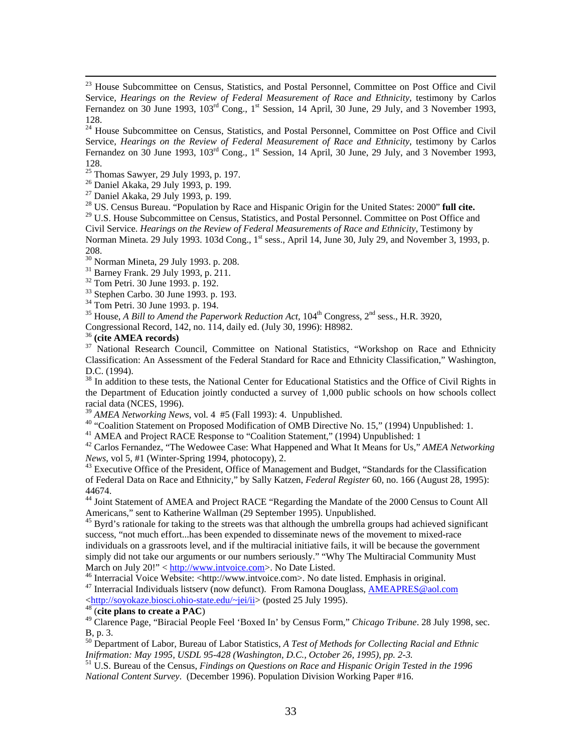Fernandez on 30 June 1993,  $103^{rd}$  Cong.,  $1^{st}$  Session, 14 April, 30 June, 29 July, and 3 November 1993, <sup>24</sup> House Subcommittee on Census, Statistics, and Postal Personnel, Committee on Post Office and Civil Service, *Hearings on the Review of Federal Measurement of Race and Ethnicity*, testimony by Carlos 128.

 $\frac{25}{25}$  Thomas Sawyer, 29 July 1993, p. 197.

26 Daniel Akaka, 29 July 1993, p. 199.

 $\overline{a}$ 

27 Daniel Akaka, 29 July 1993, p. 199.

28 US. Census Bureau. "Population by Race and Hispanic Origin for the United States: 2000" **full cite.**

Norman Mineta. 29 July 1993. 103d Cong., 1<sup>st</sup> sess., April 14, June 30, July 29, and November 3, 1993, p.  $29$  U.S. House Subcommittee on Census, Statistics, and Postal Personnel. Committee on Post Office and Civil Service. *Hearings on the Review of Federal Measurements of Race and Ethnicity*, Testimony by 208.

30 Norman Mineta, 29 July 1993. p. 208.

 $31$  Barney Frank. 29 July 1993, p. 211.

32 Tom Petri. 30 June 1993. p. 192.

33 Stephen Carbo. 30 June 1993. p. 193.

<sup>34</sup> Tom Petri. 30 June 1993. p. 194.

<sup>35</sup> House, *A Bill to Amend the Paperwork Reduction Act*, 104<sup>th</sup> Congress, 2<sup>nd</sup> sess., H.R. 3920,

Congressional Record, 142, no. 114, daily ed. (July 30, 1996): H8982.<br><sup>36</sup> (cite AMEA records)

<sup>37</sup> National Research Council, Committee on National Statistics, "Workshop on Race and Ethnicity Classification: An Assessment of the Federal Standard for Race and Ethnicity Classification," Washington, D.C. (1994).

 the Department of Education jointly conducted a survey of 1,000 public schools on how schools collect <sup>38</sup> In addition to these tests, the National Center for Educational Statistics and the Office of Civil Rights in racial data (NCES, 1996).

<sup>39</sup>*AMEA Networking News*, vol. 4 #5 (Fall 1993): 4. Unpublished.

<sup>40</sup> "Coalition Statement on Proposed Modification of OMB Directive No. 15," (1994) Unpublished: 1.

<sup>41</sup> AMEA and Project RACE Response to "Coalition Statement," (1994) Unpublished: 1

<sup>42</sup> Carlos Fernandez, "The Wedowee Case: What Happened and What It Means for Us," *AMEA Networking News*, vol 5, #1 (Winter-Spring 1994, photocopy), 2.

<sup>43</sup> Executive Office of the President, Office of Management and Budget, "Standards for the Classification of Federal Data on Race and Ethnicity," by Sally Katzen, *Federal Register* 60, no. 166 (August 28, 1995): 44674.

<sup>44</sup> Joint Statement of AMEA and Project RACE "Regarding the Mandate of the 2000 Census to Count All Americans," sent to Katherine Wallman (29 September 1995). Unpublished.

 simply did not take our arguments or our numbers seriously." "Why The Multiracial Community Must March on July 20!" < http://www.intvoice.com>. No Date Listed. <sup>45</sup> Byrd's rationale for taking to the streets was that although the umbrella groups had achieved significant success, "not much effort...has been expended to disseminate news of the movement to mixed-race individuals on a grassroots level, and if the multiracial initiative fails, it will be because the government

<sup>46</sup> Interracial Voice Website: <[http://www.intvoice.com>](http://www.intvoice.com/). No date listed. Emphasis in original.<br><sup>47</sup> Interracial Individuals listsery (now defunct). From Ramona Douglass, [AMEAPRES@aol.com](mailto:AMEAPRES@aol.com)

<<http://soyokaze.biosci.ohio-state.edu/~jei/ii>> (posted 25 July 1995). 4[8 \(](http://soyokaze.biosci.ohio-state.edu/~jei/ii)**cite plans to create a PAC**)

 49 Clarence Page, "Biracial People Feel 'Boxed In' by Census Form," *Chicago Tribune*. 28 July 1998, sec. B, p. 3.

 50 Department of Labor, Bureau of Labor Statistics, *A Test of Methods for Collecting Racial and Ethnic Inifrmation: May 1995, USDL 95-428 (Washington, D.C., October 26, 1995), pp. 2-3.* 

<sup>51</sup> U.S. Bureau of the Census, *Findings on Questions on Race and Hispanic Origin Tested in the 1996 National Content Survey*. (December 1996). Population Division Working Paper #16.

Fernandez on 30 June 1993,  $103^{\text{rd}}$  Cong.,  $1^{\text{st}}$  Session, 14 April, 30 June, 29 July, and 3 November 1993, <sup>23</sup> House Subcommittee on Census, Statistics, and Postal Personnel, Committee on Post Office and Civil Service, *Hearings on the Review of Federal Measurement of Race and Ethnicity*, testimony by Carlos 128.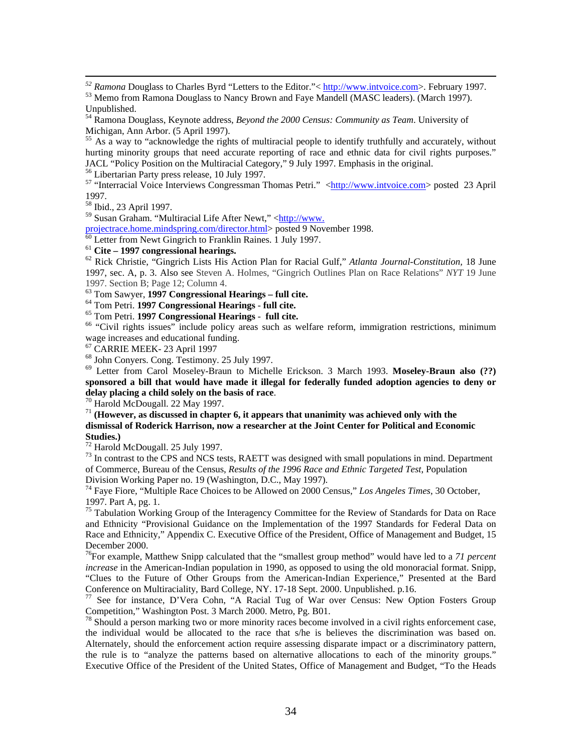<sup>52</sup> Ramona Douglass to Charles Byrd "Letters to the Editor."< <u>http://www.intvoice.com</u>>. February 1997.<br><sup>53</sup> Memo from Ramona Douglass to Nancy Brown and Faye Mandell (MASC leaders). (March 1997).

 $\overline{a}$ 

54 Ramona Douglass, Keynote address, *Beyond the 2000 Census: Community as Team*. University of Michigan, Ann Arbor. (5 April 1997).

JACL "Policy Position on the Multiracial Category," 9 July 1997. Emphasis in the original.<br><sup>56</sup> Libertarian Party press release, 10 July 1997.<br><sup>57</sup> "Interracial Voice Interviews Congressman Thomas Petri." <http://www.intvo <sup>55</sup> As a way to "acknowledge the rights of multiracial people to identify truthfully and accurately, without hurting minority groups that need accurate reporting of race and ethnic data for civil rights purposes."<br>JACL "Policy Position on the Multiracial Category," 9 July 1997. Emphasis in the original.

1997.

58 Ibid., 23 April 1997.

59 Susan Graham. "Multiracial Life After Newt," [<http://www.](http://www. projectrace.home.mindspring.com/director.html) 

[projectrace.home.mindspring.com/director.html>](http://www. projectrace.home.mindspring.com/director.html) posted 9 November 1998.<br><sup>60</sup> Letter from Newt Gingrich to Franklin Raines. 1 July 1997.<br><sup>61</sup> Cite – **1997 congressional hearings.** 

 1997, sec. A, p. 3. Also see Steven A. Holmes, "Gingrich Outlines Plan on Race Relations" *NYT* 19 June <sup>61</sup>**Cite – 1997 congressional hearings.** 62 Rick Christie, "Gingrich Lists His Action Plan for Racial Gulf," *Atlanta Journal-Constitution,* 18 June 1997. Section B; Page 12; Column 4.

 63 Tom Sawyer, **1997 Congressional Hearings – full cite.**

64 Tom Petri. **1997 Congressional Hearings** - **full cite.**

<sup>66</sup> "Civil rights issues" include policy areas such as welfare reform, immigration restrictions, minimum wage increases and educational funding.

67 CARRIE MEEK- 23 April 1997

68 John Conyers. Cong. Testimony. 25 July 1997.

<sup>68</sup> John Conyers. Cong. Testimony. 25 July 1997.<br><sup>69</sup> Letter from Carol Moseley-Braun to Michelle Erickson. 3 March 1993. Moseley-Braun also (??)  **sponsored a bill that would have made it illegal for federally funded adoption agencies to deny or delay placing a child solely on the basis of race**. 70 Harold McDougall. 22 May 1997.

<sup>71</sup> (However, as discussed in chapter 6, it appears that unanimity was achieved only with the **dismissal of Roderick Harrison, now a researcher at the Joint Center for Political and Economic Studies.)** 

72 Harold McDougall. 25 July 1997.

 $73$  In contrast to the CPS and NCS tests, RAETT was designed with small populations in mind. Department of Commerce, Bureau of the Census, *Results of the 1996 Race and Ethnic Targeted Test*, Population Division Working Paper no. 19 (Washington, D.C., May 1997).

 1997. Part A, pg. 1. 74 Faye Fiore, "Multiple Race Choices to be Allowed on 2000 Census," *Los Angeles Times*, 30 October,

 $75$  Tabulation Working Group of the Interagency Committee for the Review of Standards for Data on Race and Ethnicity "Provisional Guidance on the Implementation of the 1997 Standards for Federal Data on Race and Ethnicity," Appendix C. Executive Office of the President, Office of Management and Budget, 15 December 2000.

 76For example, Matthew Snipp calculated that the "smallest group method" would have led to a *71 percent increase* in the American-Indian population in 1990, as opposed to using the old monoracial format. Snipp, "Clues to the Future of Other Groups from the American-Indian Experience," Presented at the Bard Conference on Multiraciality, Bard College, NY. 17-18 Sept. 2000. Unpublished. p.16. <sup>77</sup> See for instance, D'Vera Cohn, "A Racial Tug of War over Census: New Option Fosters Group

Competition," Washington Post. 3 March 2000. Metro, Pg. B01.

 $78$  Should a person marking two or more minority races become involved in a civil rights enforcement case, the individual would be allocated to the race that s/he is believes the discrimination was based on. Alternately, should the enforcement action require assessing disparate impact or a discriminatory pattern, the rule is to "analyze the patterns based on alternative allocations to each of the minority groups." Executive Office of the President of the United States, Office of Management and Budget, "To the Heads

Unpublished.